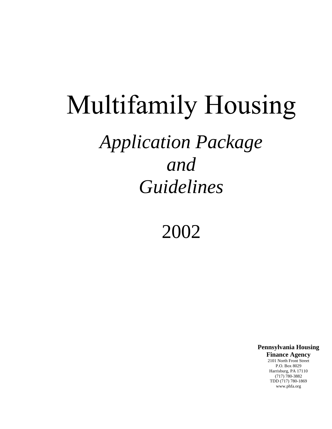## Multifamily Housing *Application Package and Guidelines*

2002

**Pennsylvania Housing Finance Agency** 2101 North Front Street P.O. Box 8029 Harrisburg, PA 17110 (717) 780-3882 TDD (717) 780-1869 www.phfa.org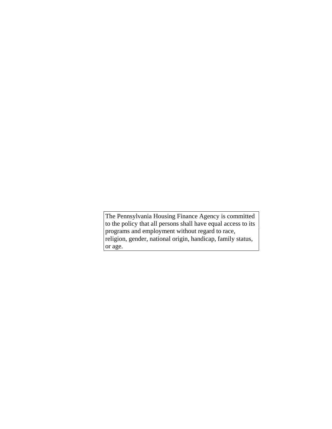The Pennsylvania Housing Finance Agency is committed to the policy that all persons shall have equal access to its programs and employment without regard to race, religion, gender, national origin, handicap, family status, or age.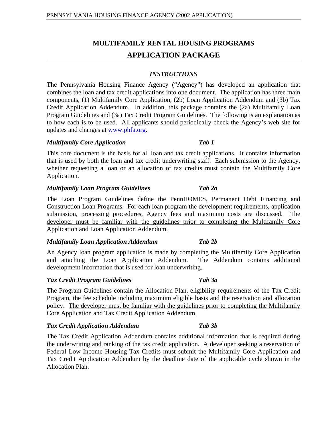## **MULTIFAMILY RENTAL HOUSING PROGRAMS APPLICATION PACKAGE**

#### *INSTRUCTIONS*

The Pennsylvania Housing Finance Agency ("Agency") has developed an application that combines the loan and tax credit applications into one document. The application has three main components, (1) Multifamily Core Application, (2b) Loan Application Addendum and (3b) Tax Credit Application Addendum. In addition, this package contains the (2a) Multifamily Loan Program Guidelines and (3a) Tax Credit Program Guidelines. The following is an explanation as to how each is to be used. All applicants should periodically check the Agency's web sitefor updates and changes at www.phfa.org.

#### *Multifamily Core Application Tab 1*

This core document is the basis for all loan and tax credit applications. It contains information that is used by both the loan and tax credit underwriting staff. Each submission to the Agency, whether requesting a loan or an allocation of tax credits must contain the Multifamily Core Application.

#### *Multifamily Loan Program Guidelines Tab 2a*

The Loan Program Guidelines define the PennHOMES, Permanent Debt Financing and Construction Loan Programs. For each loan program the development requirements, application submission, processing procedures, Agency fees and maximum costs are discussed. The developer must be familiar with the guidelines prior to completing the Multifamily Core Application and Loan Application Addendum.

#### *Multifamily Loan Application Addendum Tab 2b*

An Agency loan program application is made by completing the Multifamily Core Application and attaching the Loan Application Addendum. The Addendum contains additional development information that is used for loan underwriting.

#### *Tax Credit Program Guidelines Tab 3a*

The Program Guidelines contain the Allocation Plan, eligibility requirements of the Tax Credit Program, the fee schedule including maximum eligible basis and the reservation and allocation policy. The developer must be familiar with the guidelines prior to completing the Multifamily Core Application and Tax Credit Application Addendum.

#### *Tax Credit Application Addendum Tab 3b*

The Tax Credit Application Addendum contains additional information that is required during the underwriting and ranking of the tax credit application. A developer seeking a reservation of Federal Low Income Housing Tax Credits must submit the Multifamily Core Application and Tax Credit Application Addendum by the deadline date of the applicable cycle shown in the Allocation Plan.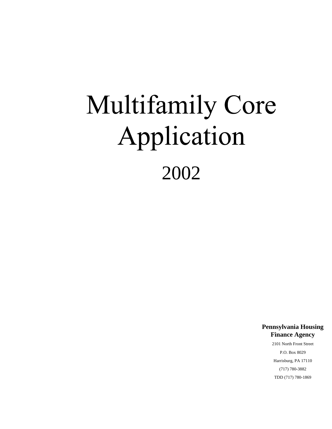# Multifamily Core Application 2002

**Pennsylvania Housing Finance Agency**

2101 North Front Street P.O. Box 8029 Harrisburg, PA 17110 (717) 780-3882 TDD (717) 780-1869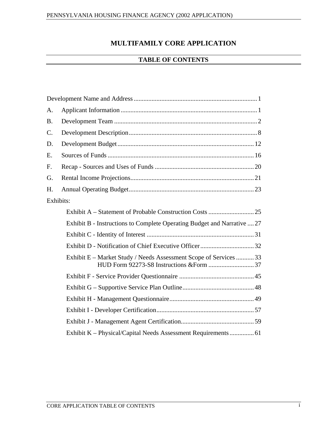## **MULTIFAMILY CORE APPLICATION**

#### **TABLE OF CONTENTS**

| Development Name and Address                                            |    |
|-------------------------------------------------------------------------|----|
| A. Applicant Information                                                |    |
| B. Development Team.                                                    |    |
| C. Development Description                                              |    |
| D. Development Budget                                                   |    |
| Sources of Funds.<br>Е.                                                 |    |
| F. Recap - Sources and Uses of Funds.                                   |    |
| G. Rental Income Projections                                            |    |
| H. Annual Operating Budget                                              |    |
| Exhibits:                                                               |    |
| Exhibit A - Statement of Probable Construction Costs                    |    |
| Exhibit B - Instructions to Complete Operating Budget and Narrative  27 |    |
| Exhibit C - Identity of Interest                                        |    |
| Exhibit D - Notification of Chief Executive Officer                     |    |
| Exhibit E - Market Study / Needs Assessment Scope of Services           |    |
| HUD Form 92273-S8 Instructions & Form.                                  |    |
| Exhibit F - Service Provider Questionnaire                              |    |
| Exhibit G - Supportive Service Plan Outline                             |    |
|                                                                         |    |
| Exhibit I - Developer Certification                                     |    |
| Exhibit J - Management Agent Certification                              | 50 |
| Exhibit K - Physical/Capital Needs Assessment Requirements.             | 61 |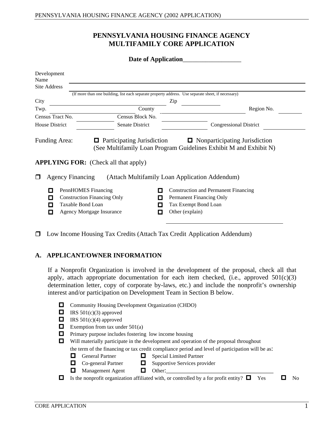#### **PENNSYLVANIA HOUSING FINANCE AGENCY MULTIFAMILY CORE APPLICATION**

|                           | Date of Application                         |                                                                                                    |
|---------------------------|---------------------------------------------|----------------------------------------------------------------------------------------------------|
| Development<br>Name       |                                             |                                                                                                    |
| Site Address              |                                             |                                                                                                    |
|                           |                                             | (If more than one building, list each separate property address. Use separate sheet, if necessary) |
| City                      |                                             |                                                                                                    |
| Twp.                      | County                                      | Region No.<br><b>Contract Contract Contract Contract</b>                                           |
| Census Tract No.          | Census Block No.                            |                                                                                                    |
| House District            | Senate District                             | <b>Congressional District</b>                                                                      |
|                           |                                             |                                                                                                    |
| Funding Area:             | <b>Q</b> Participating Jurisdiction         | $\Box$ Nonparticipating Jurisdiction                                                               |
|                           |                                             | (See Multifamily Loan Program Guidelines Exhibit M and Exhibit N)                                  |
|                           |                                             |                                                                                                    |
|                           | <b>APPLYING FOR:</b> (Check all that apply) |                                                                                                    |
|                           |                                             | <b>4</b> Agency Financing (Attach Multifamily Loan Application Addendum)                           |
|                           |                                             |                                                                                                    |
| PennHOMES Financing       |                                             | Construction and Permanent Financing                                                               |
|                           | <b>Q</b> Construction Financing Only        | <b>Permanent Financing Only</b>                                                                    |
| Taxable Bond Loan         |                                             | Tax Exempt Bond Loan                                                                               |
| Agency Mortgage Insurance |                                             | $\Box$ Other (explain)                                                                             |

Low Income Housing Tax Credits (Attach Tax Credit Application Addendum)

#### **A. APPLICANT/OWNER INFORMATION**

If a Nonprofit Organization is involved in the development of the proposal, check all that apply, attach appropriate documentation for each item checked, (i.e., approved  $501(c)(3)$ ) determination letter, copy of corporate by-laws, etc.) and include the nonprofit's ownership interest and/or participation on Development Team in Section B below.

- Community Housing Development Organization (CHDO)
- IRS  $501(c)(3)$  approved
- IRS  $501(c)(4)$  approved
- Exemption from tax under  $501(a)$
- $\Box$  Primary purpose includes fostering low income housing
- Will materially participate in the development and operation of the proposal throughout the term of the financing or tax credit compliance period and level of participation will be as:
	- - General Partner  $\Box$  Special Limited Partner
	- $Co$ -general Partner  $\Box$  Supportive Services provider
	-
- Management Agent Other:\_\_\_\_\_\_\_\_\_\_\_\_\_\_\_\_\_\_\_\_\_\_\_\_\_\_\_\_\_\_\_\_\_

 $\Box$  Is the nonprofit organization affiliated with, or controlled by a for profit entity?  $\Box$  Yes  $\Box$  No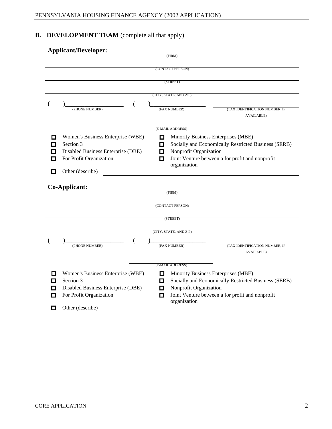## **B. DEVELOPMENT TEAM** (complete all that apply)

| <b>Applicant/Developer:</b>                    | FIRM                                                                                        |
|------------------------------------------------|---------------------------------------------------------------------------------------------|
|                                                |                                                                                             |
|                                                | (CONTACT PERSON)                                                                            |
|                                                | (STREET)                                                                                    |
|                                                |                                                                                             |
|                                                | (CITY, STATE, AND ZIP)                                                                      |
| (PHONE NUMBER)                                 | (TAX IDENTIFICATION NUMBER, IF<br>(FAX NUMBER)                                              |
|                                                | <b>AVAILABLE</b> )                                                                          |
|                                                |                                                                                             |
|                                                | (E-MAIL ADDRESS)                                                                            |
| Women's Business Enterprise (WBE)<br>Section 3 | Minority Business Enterprises (MBE)<br>Socially and Economically Restricted Business (SERB) |
| Disabled Business Enterprise (DBE)             | Nonprofit Organization                                                                      |
| <b>Solution</b> For Profit Organization        | <b>I</b> Joint Venture between a for profit and nonprofit                                   |
|                                                | organization                                                                                |
| $\Box$ Other (describe)                        |                                                                                             |
| Co-Applicant:                                  |                                                                                             |
|                                                | (FIRM)                                                                                      |
|                                                | (CONTACT PERSON)                                                                            |
|                                                |                                                                                             |
|                                                | (STREET)                                                                                    |
|                                                | (CITY, STATE, AND ZIP)                                                                      |
|                                                |                                                                                             |
| (PHONE NUMBER)                                 | (TAX IDENTIFICATION NUMBER, IF<br>(FAX NUMBER)                                              |
|                                                | AVAILABLE)                                                                                  |
|                                                | (E-MAIL ADDRESS)                                                                            |
| Women's Business Enterprise (WBE)              | Minority Business Enterprises (MBE)                                                         |
| Section 3                                      | Socially and Economically Restricted Business (SERB)                                        |
| Disabled Business Enterprise (DBE)             | Nonprofit Organization                                                                      |
| <b>Solution</b> For Profit Organization        | <b>I</b> Joint Venture between a for profit and nonprofit<br>organization                   |
| $\Box$ Other (describe)                        |                                                                                             |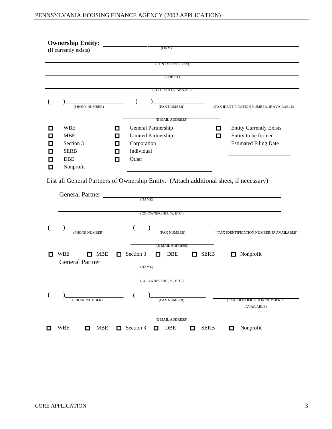| <b>Ownership Entity:</b> |                                      |                                           |
|--------------------------|--------------------------------------|-------------------------------------------|
| (If currently exists)    | (FIRM)                               |                                           |
|                          |                                      |                                           |
|                          | (CONTACT PERSON)                     |                                           |
|                          | (STREET)                             |                                           |
|                          |                                      |                                           |
|                          | (CITY, STATE, AND ZIP)               |                                           |
|                          |                                      |                                           |
| (PHONE NUMBER)           | (FAX NUMBER)                         | (TAX IDENTIFICATION NUMBER, IF AVAILABLE) |
|                          | (E-MAIL ADDRESS)                     |                                           |
| $\blacksquare$ WBE       | General Partnership                  | Entity Currently Exists                   |
| $\Box$ MBE               | <b>Example 2</b> Limited Partnership | $\Box$ Entity to be formed                |
| Section 3                | $\Box$ Corporation                   | <b>Estimated Filing Date</b>              |
| $\Box$ SERB              | $\Box$ Individual                    |                                           |
| $\Box$ DBE               | $\Box$ Other                         |                                           |
| Nonprofit                |                                      |                                           |

List all General Partners of Ownership Entity. (Attach additional sheet, if necessary)

| (CO-OWNERSHIP, %, ETC.)<br>(TAX IDENTIFICATION NUMBER, IF AVAILABLE)<br>(PHONE NUMBER)<br>(FAX NUMBER)<br>(E-MAIL ADDRESS)<br><b>NBE</b><br>$\Box$ MBE $\Box$ Section 3 $\Box$ DBE<br>SERB<br>$\Box$ Nonprofit<br>General Partner:<br>(NAME)<br>(CO-OWNERSHIP, %, ETC.)<br>(TAX IDENTIFICATION NUMBER, IF<br>(PHONE NUMBER)<br>(FAX NUMBER)<br><b>AVAILABLE</b> )<br>(E-MAIL ADDRESS) | General Partner: | (NAME)                                                                       |  |  |  |
|---------------------------------------------------------------------------------------------------------------------------------------------------------------------------------------------------------------------------------------------------------------------------------------------------------------------------------------------------------------------------------------|------------------|------------------------------------------------------------------------------|--|--|--|
|                                                                                                                                                                                                                                                                                                                                                                                       |                  |                                                                              |  |  |  |
|                                                                                                                                                                                                                                                                                                                                                                                       |                  |                                                                              |  |  |  |
|                                                                                                                                                                                                                                                                                                                                                                                       |                  |                                                                              |  |  |  |
|                                                                                                                                                                                                                                                                                                                                                                                       |                  |                                                                              |  |  |  |
|                                                                                                                                                                                                                                                                                                                                                                                       |                  |                                                                              |  |  |  |
|                                                                                                                                                                                                                                                                                                                                                                                       |                  |                                                                              |  |  |  |
|                                                                                                                                                                                                                                                                                                                                                                                       | <b>NBE</b>       | $\Box$ MBE $\Box$ Section 3 $\Box$ DBE<br>$\blacksquare$ Nonprofit<br>□ SERB |  |  |  |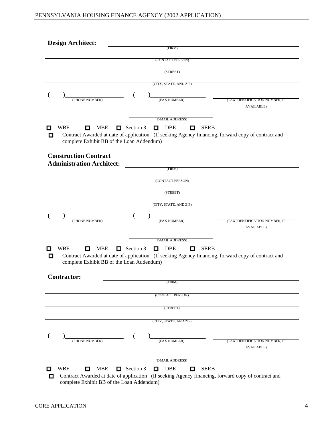| <b>Design Architect:</b>                                                                                                                       |  |  |
|------------------------------------------------------------------------------------------------------------------------------------------------|--|--|
| (FIRM)                                                                                                                                         |  |  |
| (CONTACT PERSON)                                                                                                                               |  |  |
| (STREET)                                                                                                                                       |  |  |
|                                                                                                                                                |  |  |
| (CITY, STATE, AND ZIP)                                                                                                                         |  |  |
| (PHONE NUMBER)<br>(TAX IDENTIFICATION NUMBER, IF                                                                                               |  |  |
| (FAX NUMBER)<br>AVAILABLE)                                                                                                                     |  |  |
| (E-MAIL ADDRESS)                                                                                                                               |  |  |
| $\blacksquare$ WBE<br>□ MBE □ Section 3 □ DBE □ SERB                                                                                           |  |  |
| □ Contract Awarded at date of application (If seeking Agency financing, forward copy of contract and complete Exhibit BB of the Loan Addendum) |  |  |
| <b>Construction Contract</b>                                                                                                                   |  |  |
| <b>Administration Architect:</b>                                                                                                               |  |  |
| (FIRM)                                                                                                                                         |  |  |
| (CONTACT PERSON)                                                                                                                               |  |  |
| (STREET)                                                                                                                                       |  |  |
|                                                                                                                                                |  |  |
| (CITY, STATE, AND ZIP)                                                                                                                         |  |  |
| (TAX IDENTIFICATION NUMBER, IF                                                                                                                 |  |  |
| (PHONE NUMBER)<br>(FAX NUMBER)<br>AVAILABLE)                                                                                                   |  |  |
|                                                                                                                                                |  |  |
| _____<br>(E-MAIL ADDRESS)                                                                                                                      |  |  |
| $\blacksquare$ WBE<br>□ MBE □ Section 3 □ DBE □ SERB                                                                                           |  |  |
| □ Contract Awarded at date of application (If seeking Agency financing, forward copy of contract and complete Exhibit BB of the Loan Addendum) |  |  |
| <b>Contractor:</b>                                                                                                                             |  |  |
| (FIRM)                                                                                                                                         |  |  |
| (CONTACT PERSON)                                                                                                                               |  |  |
|                                                                                                                                                |  |  |
| (STREET)                                                                                                                                       |  |  |
| (CITY, STATE, AND ZIP)                                                                                                                         |  |  |
|                                                                                                                                                |  |  |
| (TAX IDENTIFICATION NUMBER, IF<br>(PHONE NUMBER)<br>(FAX NUMBER)<br>AVAILABLE)                                                                 |  |  |
| (E-MAIL ADDRESS)                                                                                                                               |  |  |
| $\blacksquare$ WBE<br>$\Box$ MBE $\Box$ Section 3 $\Box$ DBE<br><b>O</b> SERB                                                                  |  |  |
| □ Contract Awarded at date of application (If seeking Agency financing, forward copy of contract and complete Exhibit BB of the Loan Addendum) |  |  |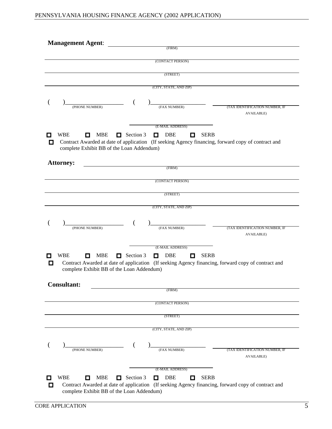| <b>Management Agent:</b> |                                                                                                                                                |  |  |  |
|--------------------------|------------------------------------------------------------------------------------------------------------------------------------------------|--|--|--|
|                          | (FIRM)                                                                                                                                         |  |  |  |
|                          | (CONTACT PERSON)                                                                                                                               |  |  |  |
|                          |                                                                                                                                                |  |  |  |
|                          | (STREET)                                                                                                                                       |  |  |  |
|                          | (CITY, STATE, AND ZIP)                                                                                                                         |  |  |  |
|                          |                                                                                                                                                |  |  |  |
| ———                      |                                                                                                                                                |  |  |  |
| (PHONE NUMBER)           | (TAX IDENTIFICATION NUMBER, IF<br>(FAX NUMBER)                                                                                                 |  |  |  |
|                          | <b>AVAILABLE)</b>                                                                                                                              |  |  |  |
|                          | (E-MAIL ADDRESS)                                                                                                                               |  |  |  |
| $\blacksquare$ WBE       | <b>O</b> MBE <b>O</b> Section 3 <b>O</b> DBE <b>O</b> SERB                                                                                     |  |  |  |
|                          | □ Contract Awarded at date of application (If seeking Agency financing, forward copy of contract and complete Exhibit BB of the Loan Addendum) |  |  |  |
|                          |                                                                                                                                                |  |  |  |
| <b>Attorney:</b>         | (FIRM)                                                                                                                                         |  |  |  |
|                          |                                                                                                                                                |  |  |  |
|                          | (CONTACT PERSON)                                                                                                                               |  |  |  |
|                          | (STREET)                                                                                                                                       |  |  |  |
|                          |                                                                                                                                                |  |  |  |
|                          | (CITY, STATE, AND ZIP)                                                                                                                         |  |  |  |
|                          |                                                                                                                                                |  |  |  |
| (PHONE NUMBER)           | (TAX IDENTIFICATION NUMBER, IF<br>(FAX NUMBER)                                                                                                 |  |  |  |
|                          | AVAILABLE)                                                                                                                                     |  |  |  |
| _____                    |                                                                                                                                                |  |  |  |
|                          | (E-MAIL ADDRESS)                                                                                                                               |  |  |  |
| $\blacksquare$ WBE       | $\Box$ MBE $\Box$ Section 3 $\Box$ DBE $\Box$ SERB                                                                                             |  |  |  |
|                          | □ Contract Awarded at date of application (If seeking Agency financing, forward copy of contract and complete Exhibit BB of the Loan Addendum) |  |  |  |
|                          |                                                                                                                                                |  |  |  |
| <b>Consultant:</b>       |                                                                                                                                                |  |  |  |
|                          | (FIRM)                                                                                                                                         |  |  |  |
|                          | (CONTACT PERSON)                                                                                                                               |  |  |  |
|                          |                                                                                                                                                |  |  |  |
|                          | (STREET)                                                                                                                                       |  |  |  |
|                          | (CITY, STATE, AND ZIP)                                                                                                                         |  |  |  |
|                          |                                                                                                                                                |  |  |  |
|                          |                                                                                                                                                |  |  |  |
| (PHONE NUMBER)           | (TAX IDENTIFICATION NUMBER, IF<br>(FAX NUMBER)                                                                                                 |  |  |  |
|                          | <b>AVAILABLE)</b>                                                                                                                              |  |  |  |
|                          | (E-MAIL ADDRESS)                                                                                                                               |  |  |  |
| $\blacksquare$ WBE       | □ MBE □ Section 3 □ DBE □ SERB                                                                                                                 |  |  |  |
|                          |                                                                                                                                                |  |  |  |
|                          | □ Contract Awarded at date of application (If seeking Agency financing, forward copy of contract and complete Exhibit BB of the Loan Addendum) |  |  |  |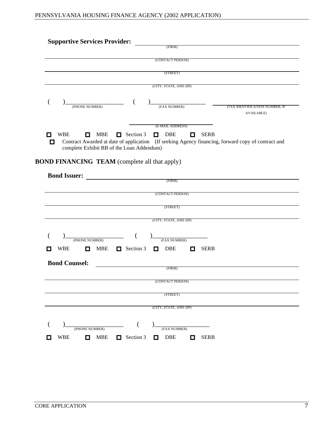| <b>Supportive Services Provider:</b>                                                                                                                                                                                                                                                                                                                                                                                                                              |  |  |  |
|-------------------------------------------------------------------------------------------------------------------------------------------------------------------------------------------------------------------------------------------------------------------------------------------------------------------------------------------------------------------------------------------------------------------------------------------------------------------|--|--|--|
|                                                                                                                                                                                                                                                                                                                                                                                                                                                                   |  |  |  |
| (CONTACT PERSON)                                                                                                                                                                                                                                                                                                                                                                                                                                                  |  |  |  |
| (STREET)                                                                                                                                                                                                                                                                                                                                                                                                                                                          |  |  |  |
| (CITY, STATE, AND ZIP)                                                                                                                                                                                                                                                                                                                                                                                                                                            |  |  |  |
|                                                                                                                                                                                                                                                                                                                                                                                                                                                                   |  |  |  |
| (PHONE NUMBER)<br>$\sqrt{\frac{\text{[FAX NUMBER]}}{\text{[FAX NUMBER]}}}$<br>(TAX IDENTIFICATION NUMBER, IF<br><b>AVAILABLE)</b>                                                                                                                                                                                                                                                                                                                                 |  |  |  |
| $\frac{1}{1} \left( \frac{1}{1} \right)^{2} \left( \frac{1}{1} \right)^{2} \left( \frac{1}{1} \right)^{2} \left( \frac{1}{1} \right)^{2} \left( \frac{1}{1} \right)^{2} \left( \frac{1}{1} \right)^{2} \left( \frac{1}{1} \right)^{2} \left( \frac{1}{1} \right)^{2} \left( \frac{1}{1} \right)^{2} \left( \frac{1}{1} \right)^{2} \left( \frac{1}{1} \right)^{2} \left( \frac{1}{1} \right)^{2} \left( \frac{1}{1} \right)^{2} \left( \frac$<br>(E-MAIL ADDRESS) |  |  |  |
| □ MBE □ Section 3 □ DBE □ SERB<br>$\Box$ WBE<br>□ Contract Awarded at date of application (If seeking Agency financing, forward copy of contract and complete Exhibit BB of the Loan Addendum)                                                                                                                                                                                                                                                                    |  |  |  |
| <b>BOND FINANCING TEAM</b> (complete all that apply)                                                                                                                                                                                                                                                                                                                                                                                                              |  |  |  |
| <b>Bond Issuer:</b><br>(FIRM)                                                                                                                                                                                                                                                                                                                                                                                                                                     |  |  |  |
| (CONTACT PERSON)                                                                                                                                                                                                                                                                                                                                                                                                                                                  |  |  |  |
| the control of the control of the control of the control of the control of the control of<br>(STREET)                                                                                                                                                                                                                                                                                                                                                             |  |  |  |
| (CITY, STATE, AND ZIP)                                                                                                                                                                                                                                                                                                                                                                                                                                            |  |  |  |
| (FAX NUMBER)<br>(PHONE NUMBER)                                                                                                                                                                                                                                                                                                                                                                                                                                    |  |  |  |
| <b>NBE</b> Section 3 DBE <b>DBE</b> SERB<br>$\blacksquare$ WBE                                                                                                                                                                                                                                                                                                                                                                                                    |  |  |  |
| <b>Bond Counsel:</b><br>FIRM)                                                                                                                                                                                                                                                                                                                                                                                                                                     |  |  |  |
| (CONTACT PERSON)                                                                                                                                                                                                                                                                                                                                                                                                                                                  |  |  |  |
| (STREET)                                                                                                                                                                                                                                                                                                                                                                                                                                                          |  |  |  |
| (CITY, STATE, AND ZIP)                                                                                                                                                                                                                                                                                                                                                                                                                                            |  |  |  |
|                                                                                                                                                                                                                                                                                                                                                                                                                                                                   |  |  |  |
| (a) $($ and $)$ $($ and $)$ $($ and $)$ $($ FAX NUMBER) $($ FAX NUMBER) $\Box$ WBE $\Box$ MBE $\Box$ SERB                                                                                                                                                                                                                                                                                                                                                         |  |  |  |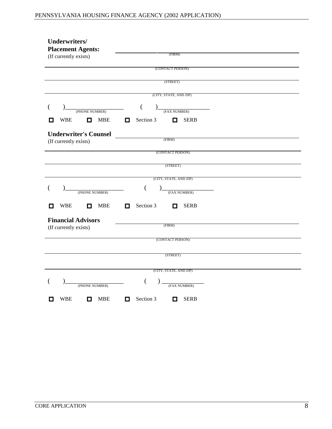| Underwriters/                                                          |  |  |
|------------------------------------------------------------------------|--|--|
| <b>Placement Agents:</b>                                               |  |  |
| (FIRM)<br>(If currently exists)                                        |  |  |
| (CONTACT PERSON)                                                       |  |  |
| (STREET)                                                               |  |  |
| (CITY, STATE, AND ZIP)                                                 |  |  |
| (FAX NUMBER)<br>(PHONE NUMBER)                                         |  |  |
| $\blacksquare$ WBE<br>$\Box$ SERB<br>Section 3<br>$\Box$<br>MBE        |  |  |
| <b>Underwriter's Counsel</b>                                           |  |  |
| (FIRM)<br>(If currently exists)                                        |  |  |
| (CONTACT PERSON)                                                       |  |  |
| (STREET)                                                               |  |  |
| (CITY, STATE, AND ZIP)                                                 |  |  |
| (FAX NUMBER)<br>(PHONE NUMBER)                                         |  |  |
| $\blacksquare$ WBE<br>SERB<br>$\Box$ Section 3<br>$\Box$<br><b>MBE</b> |  |  |
| <b>Financial Advisors</b>                                              |  |  |
| (FIRM)<br>(If currently exists)                                        |  |  |
| (CONTACT PERSON)                                                       |  |  |
| (STREET)                                                               |  |  |
|                                                                        |  |  |
| (CITY, STATE, AND ZIP)                                                 |  |  |
| (FAX NUMBER)<br>(PHONE NUMBER)                                         |  |  |
| SERB<br>$\blacksquare$ WBE<br>$\Box$<br><b>MBE</b><br>$\Box$ Section 3 |  |  |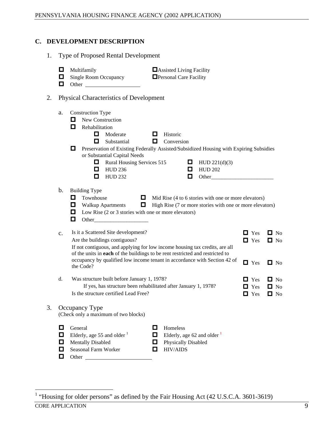#### **C. DEVELOPMENT DESCRIPTION**

- 1. Type of Proposed Rental Development
	- Multifamily **Assisted Living Facility**  $\Box$  Assisted Living Facility
	- Single Room Occupancy  $\Box$  Personal Care Facility
	- **D** Other

#### 2. Physical Characteristics of Development

| a. Construction Type                           |                                                                   |                                                                                                 |                                      |
|------------------------------------------------|-------------------------------------------------------------------|-------------------------------------------------------------------------------------------------|--------------------------------------|
| $\Box$ New Construction                        |                                                                   |                                                                                                 |                                      |
| $\Box$ Rehabilitation                          |                                                                   |                                                                                                 |                                      |
|                                                | $\Box$ Moderate                                                   | $\Box$ Historic                                                                                 |                                      |
|                                                | $\Box$ Substantial                                                | $\Box$ Conversion                                                                               |                                      |
|                                                |                                                                   | <b>I</b> Preservation of Existing Federally Assisted/Subsidized Housing with Expiring Subsidies |                                      |
|                                                | or Substantial Capital Needs<br>$\Box$ Rural Housing Services 515 | <b>HUD</b> 221(d)(3)                                                                            |                                      |
|                                                | $\blacksquare$ HUD 236                                            | $\blacksquare$ HUD 202                                                                          |                                      |
|                                                | $\blacksquare$ HUD 232                                            | $\Box$ Other                                                                                    |                                      |
|                                                |                                                                   |                                                                                                 |                                      |
| b. Building Type                               |                                                                   |                                                                                                 |                                      |
| <b>d</b> Townhouse                             |                                                                   | $\Box$ Mid Rise (4 to 6 stories with one or more elevators)                                     |                                      |
| $\Box$ Walkup Apartments                       |                                                                   | $\Box$ High Rise (7 or more stories with one or more elevators)                                 |                                      |
|                                                | $\Box$ Low Rise (2 or 3 stories with one or more elevators)       |                                                                                                 |                                      |
| $\Box$ Other                                   |                                                                   |                                                                                                 |                                      |
|                                                |                                                                   |                                                                                                 |                                      |
| c. Is it a Scattered Site development?         |                                                                   |                                                                                                 | $\blacksquare$ Yes $\blacksquare$ No |
| Are the buildings contiguous?                  |                                                                   |                                                                                                 | $\blacksquare$ Yes $\blacksquare$ No |
|                                                |                                                                   | If not contiguous, and applying for low income housing tax credits, are all                     |                                      |
|                                                |                                                                   | of the units in each of the buildings to be rent restricted and restricted to                   |                                      |
|                                                |                                                                   | occupancy by qualified low income tenant in accordance with Section 42 of                       | $\Box$ Yes $\Box$ No                 |
| the Code?                                      |                                                                   |                                                                                                 |                                      |
| d. Was structure built before January 1, 1978? |                                                                   |                                                                                                 |                                      |
|                                                |                                                                   | If yes, has structure been rehabilitated after January 1, 1978?                                 | $\blacksquare$ Yes $\blacksquare$ No |
|                                                | Is the structure certified Lead Free?                             |                                                                                                 | $\blacksquare$ Yes $\blacksquare$ No |
|                                                |                                                                   |                                                                                                 | $\blacksquare$ Yes $\blacksquare$ No |
| Occupancy Type                                 |                                                                   |                                                                                                 |                                      |
| (Check only a maximum of two blocks)           |                                                                   |                                                                                                 |                                      |
|                                                |                                                                   |                                                                                                 |                                      |
| $\Box$ General                                 |                                                                   | $\Box$ Homeless                                                                                 |                                      |
| $\Box$ Elderly, age 55 and older $\frac{1}{1}$ |                                                                   | Elderly, age 62 and older $\frac{1}{1}$                                                         |                                      |
| Mentally Disabled                              |                                                                   | Physically Disabled                                                                             |                                      |
| Seasonal Farm Worker                           |                                                                   | $\blacksquare$ HIV/AIDS                                                                         |                                      |
| $\Box$ Other                                   |                                                                   |                                                                                                 |                                      |

CORE APPLICATION 9 <sup>1</sup> "Housing for older persons" as defined by the Fair Housing Act (42 U.S.C.A. 3601-3619)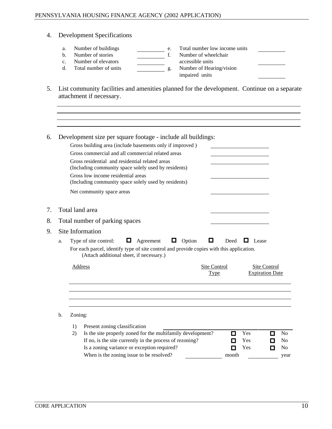- 4. Development Specifications
	- a. Number of buildings e. Total number low income units
	-
	-
	-
	- b. Number of stories f. Number of wheelchair c. Number of elevators accessible units d. Total number of units g. Number of Hearing/vision impaired units
- 5. List community facilities and amenities planned for the development. Continue on a separate attachment if necessary.

| 6. Development size per square footage - include all buildings:<br>Gross building area (include basements only if improved)<br><u> 1989 - Johann Barnett, fransk politiker (d. 1989)</u><br>Gross commercial and all commercial related areas<br>Gross residential and residential related areas<br>(Including community space solely used by residents)<br>Gross low income residential areas<br>(Including community space solely used by residents)<br>Net community space areas<br>the contract of the contract of the contract of the contract of the contract of<br>7. Total land area<br>8. Total number of parking spaces<br>Site Information<br>9.<br>$\Box$ Agreement $\Box$ Option<br>$\Box$<br>Deed $\Box$ Lease<br>a. Type of site control:<br>For each parcel, identify type of site control and provide copies with this application.<br>(Attach additional sheet, if necessary.)<br>Address<br>Site Control<br>Site Control<br><b>Expiration Date</b><br><b>Type</b><br><u> 2000 - Andrea Andrewski, marski politik (d. 1982)</u><br>b. Zoning:<br>1) Present zoning classification<br>2) Is the site properly zoned for the multifamily development?<br>$\blacksquare$ Yes<br>If no, is the site currently in the process of rezoning?<br>$\blacksquare$ Yes<br>Is a zoning variance or exception required?<br>$\Box$<br>Yes |                                          |       |           |
|-----------------------------------------------------------------------------------------------------------------------------------------------------------------------------------------------------------------------------------------------------------------------------------------------------------------------------------------------------------------------------------------------------------------------------------------------------------------------------------------------------------------------------------------------------------------------------------------------------------------------------------------------------------------------------------------------------------------------------------------------------------------------------------------------------------------------------------------------------------------------------------------------------------------------------------------------------------------------------------------------------------------------------------------------------------------------------------------------------------------------------------------------------------------------------------------------------------------------------------------------------------------------------------------------------------------------------------------------|------------------------------------------|-------|-----------|
|                                                                                                                                                                                                                                                                                                                                                                                                                                                                                                                                                                                                                                                                                                                                                                                                                                                                                                                                                                                                                                                                                                                                                                                                                                                                                                                                               |                                          |       |           |
|                                                                                                                                                                                                                                                                                                                                                                                                                                                                                                                                                                                                                                                                                                                                                                                                                                                                                                                                                                                                                                                                                                                                                                                                                                                                                                                                               |                                          |       |           |
|                                                                                                                                                                                                                                                                                                                                                                                                                                                                                                                                                                                                                                                                                                                                                                                                                                                                                                                                                                                                                                                                                                                                                                                                                                                                                                                                               |                                          |       |           |
|                                                                                                                                                                                                                                                                                                                                                                                                                                                                                                                                                                                                                                                                                                                                                                                                                                                                                                                                                                                                                                                                                                                                                                                                                                                                                                                                               |                                          |       |           |
|                                                                                                                                                                                                                                                                                                                                                                                                                                                                                                                                                                                                                                                                                                                                                                                                                                                                                                                                                                                                                                                                                                                                                                                                                                                                                                                                               |                                          |       |           |
|                                                                                                                                                                                                                                                                                                                                                                                                                                                                                                                                                                                                                                                                                                                                                                                                                                                                                                                                                                                                                                                                                                                                                                                                                                                                                                                                               |                                          |       |           |
|                                                                                                                                                                                                                                                                                                                                                                                                                                                                                                                                                                                                                                                                                                                                                                                                                                                                                                                                                                                                                                                                                                                                                                                                                                                                                                                                               |                                          |       |           |
|                                                                                                                                                                                                                                                                                                                                                                                                                                                                                                                                                                                                                                                                                                                                                                                                                                                                                                                                                                                                                                                                                                                                                                                                                                                                                                                                               |                                          |       |           |
|                                                                                                                                                                                                                                                                                                                                                                                                                                                                                                                                                                                                                                                                                                                                                                                                                                                                                                                                                                                                                                                                                                                                                                                                                                                                                                                                               |                                          |       |           |
|                                                                                                                                                                                                                                                                                                                                                                                                                                                                                                                                                                                                                                                                                                                                                                                                                                                                                                                                                                                                                                                                                                                                                                                                                                                                                                                                               |                                          |       |           |
|                                                                                                                                                                                                                                                                                                                                                                                                                                                                                                                                                                                                                                                                                                                                                                                                                                                                                                                                                                                                                                                                                                                                                                                                                                                                                                                                               |                                          |       |           |
|                                                                                                                                                                                                                                                                                                                                                                                                                                                                                                                                                                                                                                                                                                                                                                                                                                                                                                                                                                                                                                                                                                                                                                                                                                                                                                                                               |                                          |       |           |
|                                                                                                                                                                                                                                                                                                                                                                                                                                                                                                                                                                                                                                                                                                                                                                                                                                                                                                                                                                                                                                                                                                                                                                                                                                                                                                                                               |                                          |       |           |
|                                                                                                                                                                                                                                                                                                                                                                                                                                                                                                                                                                                                                                                                                                                                                                                                                                                                                                                                                                                                                                                                                                                                                                                                                                                                                                                                               |                                          |       |           |
|                                                                                                                                                                                                                                                                                                                                                                                                                                                                                                                                                                                                                                                                                                                                                                                                                                                                                                                                                                                                                                                                                                                                                                                                                                                                                                                                               |                                          |       |           |
|                                                                                                                                                                                                                                                                                                                                                                                                                                                                                                                                                                                                                                                                                                                                                                                                                                                                                                                                                                                                                                                                                                                                                                                                                                                                                                                                               |                                          |       |           |
|                                                                                                                                                                                                                                                                                                                                                                                                                                                                                                                                                                                                                                                                                                                                                                                                                                                                                                                                                                                                                                                                                                                                                                                                                                                                                                                                               |                                          |       |           |
|                                                                                                                                                                                                                                                                                                                                                                                                                                                                                                                                                                                                                                                                                                                                                                                                                                                                                                                                                                                                                                                                                                                                                                                                                                                                                                                                               |                                          |       |           |
|                                                                                                                                                                                                                                                                                                                                                                                                                                                                                                                                                                                                                                                                                                                                                                                                                                                                                                                                                                                                                                                                                                                                                                                                                                                                                                                                               |                                          |       | $\Box$ No |
|                                                                                                                                                                                                                                                                                                                                                                                                                                                                                                                                                                                                                                                                                                                                                                                                                                                                                                                                                                                                                                                                                                                                                                                                                                                                                                                                               |                                          |       | $\Box$ No |
|                                                                                                                                                                                                                                                                                                                                                                                                                                                                                                                                                                                                                                                                                                                                                                                                                                                                                                                                                                                                                                                                                                                                                                                                                                                                                                                                               |                                          |       | $\Box$ No |
|                                                                                                                                                                                                                                                                                                                                                                                                                                                                                                                                                                                                                                                                                                                                                                                                                                                                                                                                                                                                                                                                                                                                                                                                                                                                                                                                               | When is the zoning issue to be resolved? | month | year      |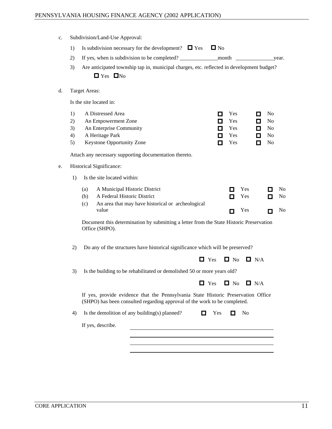| c. Subdivision/Land-Use Approval:                                                                                                                              |                                                                    |
|----------------------------------------------------------------------------------------------------------------------------------------------------------------|--------------------------------------------------------------------|
| 1) Is subdivision necessary for the development? $\Box$ Yes $\Box$ No                                                                                          |                                                                    |
| 2) If yes, when is subdivision to be completed?                                                                                                                |                                                                    |
| 3) Are anticipated township tap in, municipal charges, etc. reflected in development budget?                                                                   |                                                                    |
| $\blacksquare$ Yes $\blacksquare$ No                                                                                                                           |                                                                    |
|                                                                                                                                                                |                                                                    |
| d. Target Areas:                                                                                                                                               |                                                                    |
| Is the site located in:                                                                                                                                        |                                                                    |
| 1) A Distressed Area                                                                                                                                           | $\blacksquare$ Yes<br>$\Box$ No                                    |
| 2) An Empowerment Zone                                                                                                                                         | $\blacksquare$ Yes<br>$\Box$ No                                    |
| 3) An Enterprise Community<br>4) A Heritage Park                                                                                                               | $\Box$ No<br>$\blacksquare$ Yes<br>$\Box$ No<br>$\blacksquare$ Yes |
| 5) Keystone Opportunity Zone                                                                                                                                   | $\Box$ No<br>$\blacksquare$ Yes                                    |
|                                                                                                                                                                |                                                                    |
| Attach any necessary supporting documentation thereto.                                                                                                         |                                                                    |
| e. Historical Significance:                                                                                                                                    |                                                                    |
| 1) Is the site located within:                                                                                                                                 |                                                                    |
| (a) A Municipal Historic District                                                                                                                              | $\Box$ No<br>$\blacksquare$ Yes                                    |
| (b) A Federal Historic District                                                                                                                                | $\blacksquare$ No<br>$\blacksquare$ Yes                            |
| (c) An area that may have historical or archeological                                                                                                          |                                                                    |
| value                                                                                                                                                          | $\blacksquare$ Yes<br>$\Box$ No                                    |
| Document this determination by submitting a letter from the State Historic Preservation<br>Office (SHPO).                                                      |                                                                    |
|                                                                                                                                                                |                                                                    |
| 2) Do any of the structures have historical significance which will be preserved?                                                                              |                                                                    |
|                                                                                                                                                                | $\Box$ Yes $\Box$ No $\Box$ N/A                                    |
| 3) Is the building to be rehabilitated or demolished 50 or more years old?                                                                                     |                                                                    |
|                                                                                                                                                                | $\Box$ Yes $\Box$ No $\Box$ N/A                                    |
|                                                                                                                                                                |                                                                    |
| If yes, provide evidence that the Pennsylvania State Historic Preservation Office<br>(SHPO) has been consulted regarding approval of the work to be completed. |                                                                    |
| 4) Is the demolition of any building(s) planned?                                                                                                               | $\blacksquare$ Yes $\blacksquare$ No                               |
| If yes, describe.                                                                                                                                              |                                                                    |
|                                                                                                                                                                |                                                                    |
|                                                                                                                                                                |                                                                    |
|                                                                                                                                                                |                                                                    |
|                                                                                                                                                                |                                                                    |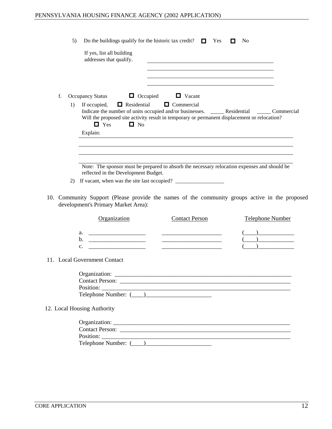|                                                                                                                                       | 5) Do the buildings qualify for the historic tax credit? $\Box$ Yes $\Box$ No                                     |                                                                              |  |  |  |
|---------------------------------------------------------------------------------------------------------------------------------------|-------------------------------------------------------------------------------------------------------------------|------------------------------------------------------------------------------|--|--|--|
| If yes, list all building<br>addresses that qualify.                                                                                  |                                                                                                                   |                                                                              |  |  |  |
| $\Box$ Occupied<br>f. Occupancy Status                                                                                                | <u> 1989 - Andrea Barbara, Amerikaansk politiker (d. 1989)</u><br>$\Box$ Vacant                                   |                                                                              |  |  |  |
| If occupied, $\Box$ Residential<br>1)<br>$\Box$ No<br>$\Box$ Yes                                                                      | $\Box$ Commercial<br>Will the proposed site activity result in temporary or permanent displacement or relocation? |                                                                              |  |  |  |
| Explain:                                                                                                                              | <u> 1989 - Johann Stoff, fransk politik (d. 1989)</u>                                                             |                                                                              |  |  |  |
| reflected in the Development Budget.<br>2) If vacant, when was the site last occupied?                                                | Note: The sponsor must be prepared to absorb the necessary relocation expenses and should be                      |                                                                              |  |  |  |
| 10. Community Support (Please provide the names of the community groups active in the proposed<br>development's Primary Market Area): |                                                                                                                   |                                                                              |  |  |  |
| <b>Organization</b>                                                                                                                   | <b>Contact Person</b>                                                                                             | <b>Telephone Number</b>                                                      |  |  |  |
|                                                                                                                                       |                                                                                                                   | $\begin{array}{c} \begin{array}{c} \begin{array}{c} \end{array} \end{array}$ |  |  |  |
|                                                                                                                                       |                                                                                                                   |                                                                              |  |  |  |
|                                                                                                                                       |                                                                                                                   | )________________                                                            |  |  |  |
| 11. Local Government Contact                                                                                                          |                                                                                                                   |                                                                              |  |  |  |
| Organization:                                                                                                                         |                                                                                                                   |                                                                              |  |  |  |
|                                                                                                                                       | Contact Person:                                                                                                   |                                                                              |  |  |  |
|                                                                                                                                       |                                                                                                                   |                                                                              |  |  |  |
|                                                                                                                                       |                                                                                                                   |                                                                              |  |  |  |
| 12. Local Housing Authority                                                                                                           |                                                                                                                   |                                                                              |  |  |  |
|                                                                                                                                       |                                                                                                                   |                                                                              |  |  |  |
|                                                                                                                                       |                                                                                                                   |                                                                              |  |  |  |
|                                                                                                                                       |                                                                                                                   |                                                                              |  |  |  |
|                                                                                                                                       |                                                                                                                   |                                                                              |  |  |  |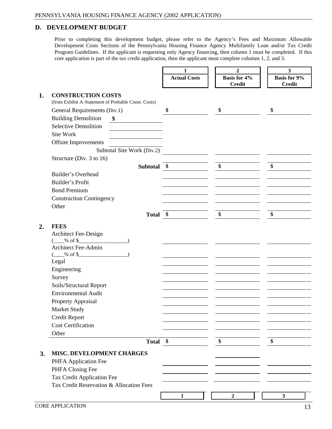#### **D. DEVELOPMENT BUDGET**

Prior to completing this development budget, please refer to the Agency's Fees and Maximum Allowable Development Costs Sections of the Pennsylvania Housing Finance Agency Multifamily Loan and/or Tax Credit Program Guidelines. If the applicant is requesting only Agency financing, then column 1 must be completed. If this core application is part of the tax credit application, then the applicant must complete columns 1, 2, and 3.

|                                                     | <b>Actual Costs</b>                        | <b>Basis for 4%</b>                          | Basis for 9%                                                                                                                                                                                             |
|-----------------------------------------------------|--------------------------------------------|----------------------------------------------|----------------------------------------------------------------------------------------------------------------------------------------------------------------------------------------------------------|
|                                                     |                                            | Credit                                       | <b>Credit</b>                                                                                                                                                                                            |
| <b>CONSTRUCTION COSTS</b>                           |                                            |                                              |                                                                                                                                                                                                          |
| (from Exhibit A-Statement of Probable Const. Costs) |                                            |                                              |                                                                                                                                                                                                          |
| General Requirements (Div.1)                        |                                            |                                              | and the contract of the contract of the contract of the contract of the contract of                                                                                                                      |
| <b>Building Demolition</b>                          |                                            |                                              |                                                                                                                                                                                                          |
| <b>Selective Demolition</b>                         |                                            |                                              |                                                                                                                                                                                                          |
| Site Work                                           |                                            |                                              |                                                                                                                                                                                                          |
| Offsite Improvements                                |                                            |                                              |                                                                                                                                                                                                          |
| Subtotal Site Work (Div.2)                          |                                            |                                              |                                                                                                                                                                                                          |
| Structure (Div. 3 to 16)                            |                                            |                                              |                                                                                                                                                                                                          |
|                                                     | Subtotal                                   |                                              |                                                                                                                                                                                                          |
| Builder's Overhead                                  |                                            |                                              | <u> Andreas Andreas Andreas Andreas Andreas Andreas Andreas Andreas Andreas Andreas Andreas Andreas Andreas Andr</u>                                                                                     |
| Builder's Profit<br><b>Bond Premium</b>             |                                            |                                              | <u> 1999 - Jan Barriston, mars et al. III et al. III et al. III et al. III et al. III et al. III et al. III et a</u>                                                                                     |
| <b>Construction Contingency</b>                     |                                            |                                              |                                                                                                                                                                                                          |
| Other                                               |                                            |                                              |                                                                                                                                                                                                          |
|                                                     | <b>Total</b>                               |                                              | the contract of the contract of the                                                                                                                                                                      |
|                                                     | <b>Contract Contract Contract Contract</b> | and the control of the control of            | the contract of the contract of the contract of the contract of the contract of                                                                                                                          |
| 2. FEES                                             |                                            |                                              |                                                                                                                                                                                                          |
| Architect Fee-Design                                |                                            |                                              |                                                                                                                                                                                                          |
| Architect Fee-Admin                                 |                                            |                                              |                                                                                                                                                                                                          |
|                                                     |                                            |                                              |                                                                                                                                                                                                          |
| Legal                                               |                                            |                                              |                                                                                                                                                                                                          |
| Engineering                                         |                                            |                                              | <u> 1989 - Jan Salam Barat, masjid ayyında bir alan bir alan bir alan bir alan bir alan bir alan bir alan bir ala</u><br>the contract of the contract of the contract of the contract of the contract of |
| Survey                                              |                                            |                                              |                                                                                                                                                                                                          |
| Soils/Structural Report                             |                                            |                                              |                                                                                                                                                                                                          |
| <b>Environmental Audit</b>                          |                                            |                                              | <u> 1989 - Andrea Santa Andrea Andrea Andrea Andrea Andrea Andrea Andrea Andrea Andrea Andrea Andrea Andrea Andr</u>                                                                                     |
| <b>Property Appraisal</b>                           |                                            |                                              | <u> Andreas Andreas Andreas Andreas Andreas Andreas Andreas Andreas Andreas Andreas Andreas Andreas Andreas Andr</u>                                                                                     |
| <b>Market Study</b>                                 |                                            |                                              | <u> Andreas Andreas Andreas Andreas Andreas Andreas Andreas Andreas Andreas Andreas Andreas Andreas Andreas Andr</u>                                                                                     |
| Credit Report                                       |                                            |                                              | <u> Andreas Andreas Andreas Andreas Andreas Andreas Andreas Andreas Andreas Andreas Andreas Andreas Andreas Andre</u>                                                                                    |
| <b>Cost Certification</b>                           |                                            |                                              | <u> Andreas Andreas Andreas Andreas Andreas Andreas Andreas Andreas Andreas Andreas Andreas Andreas Andreas Andr</u>                                                                                     |
| Other                                               |                                            |                                              | $\overline{\phantom{a}}$                                                                                                                                                                                 |
|                                                     | Total \$                                   | the control of the control of the control of |                                                                                                                                                                                                          |
| <b>MISC. DEVELOPMENT CHARGES</b>                    |                                            |                                              |                                                                                                                                                                                                          |
| PHFA Application Fee                                |                                            |                                              |                                                                                                                                                                                                          |
| PHFA Closing Fee                                    |                                            |                                              | <u> Andreas Andreas Andreas Andreas Andreas Andreas Andreas Andreas Andreas Andreas Andreas Andreas Andreas Andr</u>                                                                                     |
| Tax Credit Application Fee                          |                                            |                                              |                                                                                                                                                                                                          |
| Tax Credit Reservation & Allocation Fees            |                                            |                                              |                                                                                                                                                                                                          |
|                                                     | $\frac{1}{2}$                              |                                              |                                                                                                                                                                                                          |
|                                                     |                                            |                                              |                                                                                                                                                                                                          |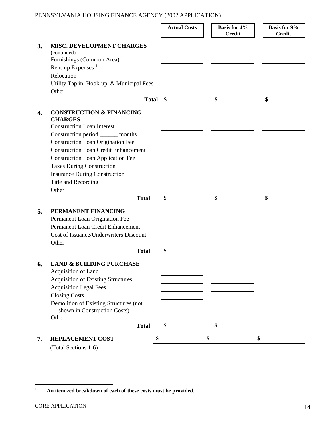|                                                                        | <b>Actual Costs</b>                                                                                                                                                                                                                  | <b>Basis for 4%</b>                                                                                                   | <b>Basis for 9%</b> |
|------------------------------------------------------------------------|--------------------------------------------------------------------------------------------------------------------------------------------------------------------------------------------------------------------------------------|-----------------------------------------------------------------------------------------------------------------------|---------------------|
|                                                                        |                                                                                                                                                                                                                                      | Credit                                                                                                                | <b>Credit</b>       |
| <b>MISC. DEVELOPMENT CHARGES</b>                                       |                                                                                                                                                                                                                                      |                                                                                                                       |                     |
| (continued)<br>Furnishings (Common Area) <sup>1</sup>                  |                                                                                                                                                                                                                                      |                                                                                                                       |                     |
| Rent-up Expenses <sup>1</sup>                                          |                                                                                                                                                                                                                                      |                                                                                                                       |                     |
| Relocation                                                             |                                                                                                                                                                                                                                      |                                                                                                                       |                     |
| Utility Tap in, Hook-up, & Municipal Fees                              |                                                                                                                                                                                                                                      |                                                                                                                       |                     |
| Other<br><b>Contract Contract Contract</b>                             |                                                                                                                                                                                                                                      |                                                                                                                       |                     |
| Total \$                                                               |                                                                                                                                                                                                                                      |                                                                                                                       |                     |
| <b>CONSTRUCTION &amp; FINANCING</b>                                    |                                                                                                                                                                                                                                      |                                                                                                                       |                     |
| <b>CHARGES</b>                                                         |                                                                                                                                                                                                                                      |                                                                                                                       |                     |
| <b>Construction Loan Interest</b><br>Construction period ______ months |                                                                                                                                                                                                                                      | <u> Alexandro de la contrada de la contrada de la contrada de la contrada de la contrada de la contrada de la con</u> |                     |
| <b>Construction Loan Origination Fee</b>                               |                                                                                                                                                                                                                                      |                                                                                                                       |                     |
| <b>Construction Loan Credit Enhancement</b>                            |                                                                                                                                                                                                                                      |                                                                                                                       |                     |
| <b>Construction Loan Application Fee</b>                               |                                                                                                                                                                                                                                      |                                                                                                                       |                     |
| <b>Taxes During Construction</b>                                       |                                                                                                                                                                                                                                      |                                                                                                                       |                     |
| <b>Insurance During Construction</b>                                   |                                                                                                                                                                                                                                      |                                                                                                                       |                     |
| Title and Recording                                                    |                                                                                                                                                                                                                                      |                                                                                                                       |                     |
| Other                                                                  |                                                                                                                                                                                                                                      | the contract of the contract of the                                                                                   |                     |
| <b>Total</b>                                                           |                                                                                                                                                                                                                                      |                                                                                                                       |                     |
| PERMANENT FINANCING                                                    |                                                                                                                                                                                                                                      |                                                                                                                       |                     |
| Permanent Loan Origination Fee                                         | <u> The Communication of the Communication of the Communication of the Communication of the Communication of the Communication of the Communication of the Communication of the Communication of the Communication of the Commun</u> |                                                                                                                       |                     |
| Permanent Loan Credit Enhancement                                      |                                                                                                                                                                                                                                      |                                                                                                                       |                     |
| Cost of Issuance/Underwriters Discount<br>Other                        |                                                                                                                                                                                                                                      |                                                                                                                       |                     |
| and the contract of the contract of<br><b>Total</b>                    |                                                                                                                                                                                                                                      |                                                                                                                       |                     |
|                                                                        | $\overline{\bullet}$                                                                                                                                                                                                                 |                                                                                                                       |                     |
| <b>6.</b> LAND & BUILDING PURCHASE                                     |                                                                                                                                                                                                                                      |                                                                                                                       |                     |
| Acquisition of Land<br><b>Acquisition of Existing Structures</b>       |                                                                                                                                                                                                                                      |                                                                                                                       |                     |
| <b>Acquisition Legal Fees</b>                                          |                                                                                                                                                                                                                                      |                                                                                                                       |                     |
| <b>Closing Costs</b>                                                   |                                                                                                                                                                                                                                      |                                                                                                                       |                     |
| Demolition of Existing Structures (not                                 |                                                                                                                                                                                                                                      |                                                                                                                       |                     |
| shown in Construction Costs)                                           |                                                                                                                                                                                                                                      |                                                                                                                       |                     |
| Other<br>$\sim$ $\sim$ $\sim$                                          | <b>Contract Contract Contract Contract Contract</b><br>the control of the control of the con-                                                                                                                                        |                                                                                                                       |                     |
| <b>Total</b>                                                           |                                                                                                                                                                                                                                      |                                                                                                                       |                     |
| <b>REPLACEMENT COST</b>                                                | $\sim$                                                                                                                                                                                                                               |                                                                                                                       |                     |
| (Total Sections 1-6)                                                   |                                                                                                                                                                                                                                      |                                                                                                                       |                     |

**<sup>1</sup> An itemized breakdown of each of these costs must be provided.**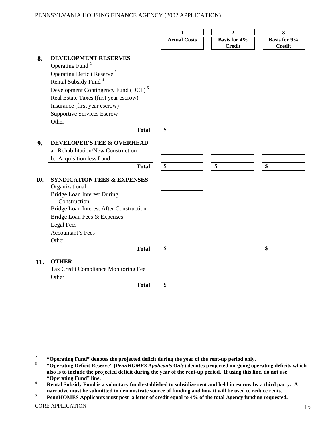|                                                                                                                   | $\blacksquare$                                                                                                                                                                                                                                                                                                                                                                                                                                                                                         |                     |                                                                                                                                                                                                                                      |
|-------------------------------------------------------------------------------------------------------------------|--------------------------------------------------------------------------------------------------------------------------------------------------------------------------------------------------------------------------------------------------------------------------------------------------------------------------------------------------------------------------------------------------------------------------------------------------------------------------------------------------------|---------------------|--------------------------------------------------------------------------------------------------------------------------------------------------------------------------------------------------------------------------------------|
|                                                                                                                   | <b>Actual Costs</b>                                                                                                                                                                                                                                                                                                                                                                                                                                                                                    | <b>Basis for 4%</b> | <b>Basis for 9%</b>                                                                                                                                                                                                                  |
|                                                                                                                   |                                                                                                                                                                                                                                                                                                                                                                                                                                                                                                        | <b>Credit</b>       | Credit                                                                                                                                                                                                                               |
| 8. DEVELOPMENT RESERVES                                                                                           |                                                                                                                                                                                                                                                                                                                                                                                                                                                                                                        |                     |                                                                                                                                                                                                                                      |
| Operating Fund <sup>2</sup>                                                                                       |                                                                                                                                                                                                                                                                                                                                                                                                                                                                                                        |                     |                                                                                                                                                                                                                                      |
| Operating Deficit Reserve <sup>3</sup>                                                                            |                                                                                                                                                                                                                                                                                                                                                                                                                                                                                                        |                     |                                                                                                                                                                                                                                      |
| Rental Subsidy Fund <sup>4</sup>                                                                                  |                                                                                                                                                                                                                                                                                                                                                                                                                                                                                                        |                     |                                                                                                                                                                                                                                      |
| Development Contingency Fund (DCF) <sup>5</sup>                                                                   |                                                                                                                                                                                                                                                                                                                                                                                                                                                                                                        |                     |                                                                                                                                                                                                                                      |
| Real Estate Taxes (first year escrow)                                                                             |                                                                                                                                                                                                                                                                                                                                                                                                                                                                                                        |                     |                                                                                                                                                                                                                                      |
| Insurance (first year escrow)                                                                                     |                                                                                                                                                                                                                                                                                                                                                                                                                                                                                                        |                     |                                                                                                                                                                                                                                      |
| <b>Supportive Services Escrow</b>                                                                                 |                                                                                                                                                                                                                                                                                                                                                                                                                                                                                                        |                     |                                                                                                                                                                                                                                      |
| Other<br>the contract of the contract of the contract of the contract of the contract of the contract of<br>Total | $\frac{1}{2}$ . The contract of the contract of $\frac{1}{2}$                                                                                                                                                                                                                                                                                                                                                                                                                                          |                     |                                                                                                                                                                                                                                      |
|                                                                                                                   | $\mathbf{s}$                                                                                                                                                                                                                                                                                                                                                                                                                                                                                           |                     |                                                                                                                                                                                                                                      |
| <b>DEVELOPER'S FEE &amp; OVERHEAD</b>                                                                             |                                                                                                                                                                                                                                                                                                                                                                                                                                                                                                        |                     |                                                                                                                                                                                                                                      |
| a. Rehabilitation/New Construction                                                                                |                                                                                                                                                                                                                                                                                                                                                                                                                                                                                                        |                     |                                                                                                                                                                                                                                      |
| b. Acquisition less Land                                                                                          |                                                                                                                                                                                                                                                                                                                                                                                                                                                                                                        |                     |                                                                                                                                                                                                                                      |
| <b>Total</b>                                                                                                      | $\frac{1}{2} \left( \frac{1}{2} \right) \left( \frac{1}{2} \right) \left( \frac{1}{2} \right) \left( \frac{1}{2} \right) \left( \frac{1}{2} \right) \left( \frac{1}{2} \right) \left( \frac{1}{2} \right) \left( \frac{1}{2} \right) \left( \frac{1}{2} \right) \left( \frac{1}{2} \right) \left( \frac{1}{2} \right) \left( \frac{1}{2} \right) \left( \frac{1}{2} \right) \left( \frac{1}{2} \right) \left( \frac{1}{2} \right) \left( \frac{1}{2} \right) \left( \frac$<br>$\overline{\phantom{a}}$ |                     |                                                                                                                                                                                                                                      |
| 10. SYNDICATION FEES & EXPENSES                                                                                   |                                                                                                                                                                                                                                                                                                                                                                                                                                                                                                        |                     |                                                                                                                                                                                                                                      |
| Organizational                                                                                                    |                                                                                                                                                                                                                                                                                                                                                                                                                                                                                                        |                     |                                                                                                                                                                                                                                      |
| <b>Bridge Loan Interest During</b>                                                                                |                                                                                                                                                                                                                                                                                                                                                                                                                                                                                                        |                     |                                                                                                                                                                                                                                      |
| Construction                                                                                                      |                                                                                                                                                                                                                                                                                                                                                                                                                                                                                                        |                     | the contract of the contract of the contract of the contract of the contract of                                                                                                                                                      |
| Bridge Loan Interest After Construction                                                                           |                                                                                                                                                                                                                                                                                                                                                                                                                                                                                                        |                     |                                                                                                                                                                                                                                      |
| Bridge Loan Fees & Expenses                                                                                       |                                                                                                                                                                                                                                                                                                                                                                                                                                                                                                        |                     |                                                                                                                                                                                                                                      |
| <b>Legal Fees</b>                                                                                                 |                                                                                                                                                                                                                                                                                                                                                                                                                                                                                                        |                     |                                                                                                                                                                                                                                      |
| Accountant's Fees                                                                                                 |                                                                                                                                                                                                                                                                                                                                                                                                                                                                                                        |                     |                                                                                                                                                                                                                                      |
| Other                                                                                                             |                                                                                                                                                                                                                                                                                                                                                                                                                                                                                                        |                     |                                                                                                                                                                                                                                      |
| <b>Total</b>                                                                                                      |                                                                                                                                                                                                                                                                                                                                                                                                                                                                                                        |                     | <u> Andreas Andreas Andreas Andreas Andreas Andreas Andreas Andreas Andreas Andreas Andreas Andreas Andreas Andreas Andreas Andreas Andreas Andreas Andreas Andreas Andreas Andreas Andreas Andreas Andreas Andreas Andreas Andr</u> |
| 11. OTHER                                                                                                         |                                                                                                                                                                                                                                                                                                                                                                                                                                                                                                        |                     |                                                                                                                                                                                                                                      |
| Tax Credit Compliance Monitoring Fee                                                                              |                                                                                                                                                                                                                                                                                                                                                                                                                                                                                                        |                     |                                                                                                                                                                                                                                      |
| Other                                                                                                             |                                                                                                                                                                                                                                                                                                                                                                                                                                                                                                        |                     |                                                                                                                                                                                                                                      |
| <b>Contract Contract Contract Contract</b><br><b>Total</b>                                                        |                                                                                                                                                                                                                                                                                                                                                                                                                                                                                                        |                     |                                                                                                                                                                                                                                      |

**<sup>2</sup> "Operating Fund" denotes the projected deficit during the year of the rent-up period only. <sup>3</sup>**

**<sup>&</sup>quot;Operating Deficit Reserve" (***PennHOMES Applicants Only***) denotes projected on-going operating deficits which** also is to include the projected deficit during the year of the rent-up period. If using this line, do not use "Operating Fund" line.<br>Rental Subsidy Fund is a voluntary fund established to subsidize rent and held in escrow by a third party. A

narrative must be submitted to demonstrate source of funding and how it will be used to reduce rents.<br>PennHOMES Applicants must post a letter of credit equal to 4% of the total Agency funding requested.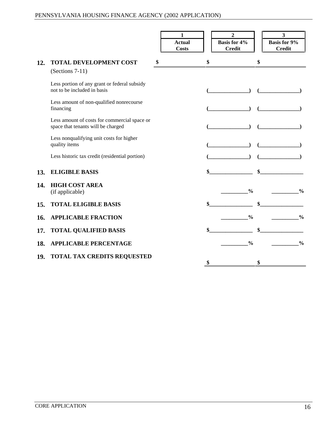|                                                                                    | Actual<br>Costs | <b>Basis for 4%</b><br>Credit                                                                                                                                                                                                                                                                                                                                                                                                                           | <b>Basis for 9%</b>                                                                                                                                                                                                                                                                                                                                                                                        |
|------------------------------------------------------------------------------------|-----------------|---------------------------------------------------------------------------------------------------------------------------------------------------------------------------------------------------------------------------------------------------------------------------------------------------------------------------------------------------------------------------------------------------------------------------------------------------------|------------------------------------------------------------------------------------------------------------------------------------------------------------------------------------------------------------------------------------------------------------------------------------------------------------------------------------------------------------------------------------------------------------|
|                                                                                    |                 |                                                                                                                                                                                                                                                                                                                                                                                                                                                         | Credit                                                                                                                                                                                                                                                                                                                                                                                                     |
| 12. TOTAL DEVELOPMENT COST                                                         |                 |                                                                                                                                                                                                                                                                                                                                                                                                                                                         |                                                                                                                                                                                                                                                                                                                                                                                                            |
| $(Sections 7-11)$                                                                  |                 |                                                                                                                                                                                                                                                                                                                                                                                                                                                         |                                                                                                                                                                                                                                                                                                                                                                                                            |
| Less portion of any grant or federal subsidy<br>not to be included in basis        |                 |                                                                                                                                                                                                                                                                                                                                                                                                                                                         | $\qquad \qquad \qquad$ $\qquad \qquad$ $\qquad \qquad$ $\qquad \qquad$ $\qquad \qquad$ $\qquad \qquad$ $\qquad \qquad$ $\qquad \qquad$ $\qquad \qquad$ $\qquad \qquad$ $\qquad \qquad$ $\qquad \qquad$ $\qquad \qquad$ $\qquad \qquad$ $\qquad \qquad$ $\qquad \qquad$ $\qquad \qquad$ $\qquad \qquad$ $\qquad \qquad$ $\qquad \qquad$ $\qquad \qquad$ $\qquad \qquad$ $\qquad \qquad$ $\qquad \qquad$ $\$ |
| Less amount of non-qualified nonrecourse<br>financing                              |                 |                                                                                                                                                                                                                                                                                                                                                                                                                                                         |                                                                                                                                                                                                                                                                                                                                                                                                            |
| Less amount of costs for commercial space or<br>space that tenants will be charged |                 | $\sqrt{2\pi}$                                                                                                                                                                                                                                                                                                                                                                                                                                           |                                                                                                                                                                                                                                                                                                                                                                                                            |
| Less nonqualifying unit costs for higher<br>quality items                          |                 | $\sqrt{2\pi}$                                                                                                                                                                                                                                                                                                                                                                                                                                           | $\begin{picture}(150,10) \put(0,0){\line(1,0){10}} \put(15,0){\line(1,0){10}} \put(15,0){\line(1,0){10}} \put(15,0){\line(1,0){10}} \put(15,0){\line(1,0){10}} \put(15,0){\line(1,0){10}} \put(15,0){\line(1,0){10}} \put(15,0){\line(1,0){10}} \put(15,0){\line(1,0){10}} \put(15,0){\line(1,0){10}} \put(15,0){\line(1,0){10}} \put(15,0){\line($                                                        |
| Less historic tax credit (residential portion)                                     |                 | $\begin{picture}(120,10) \put(0,0){\line(1,0){10}} \put(15,0){\line(1,0){10}} \put(15,0){\line(1,0){10}} \put(15,0){\line(1,0){10}} \put(15,0){\line(1,0){10}} \put(15,0){\line(1,0){10}} \put(15,0){\line(1,0){10}} \put(15,0){\line(1,0){10}} \put(15,0){\line(1,0){10}} \put(15,0){\line(1,0){10}} \put(15,0){\line(1,0){10}} \put(15,0){\line($                                                                                                     |                                                                                                                                                                                                                                                                                                                                                                                                            |
| 13. ELIGIBLE BASIS                                                                 |                 |                                                                                                                                                                                                                                                                                                                                                                                                                                                         |                                                                                                                                                                                                                                                                                                                                                                                                            |
| 14. HIGH COST AREA<br>(if applicable)                                              |                 | $\overline{\phantom{a^{1}}}_{\phantom{1}}$                                                                                                                                                                                                                                                                                                                                                                                                              |                                                                                                                                                                                                                                                                                                                                                                                                            |
| 15. TOTAL ELIGIBLE BASIS                                                           |                 | $\frac{\cdot}{\cdot}$ $\frac{\cdot}{\cdot}$ $\frac{\cdot}{\cdot}$ $\frac{\cdot}{\cdot}$ $\frac{\cdot}{\cdot}$ $\frac{\cdot}{\cdot}$ $\frac{\cdot}{\cdot}$ $\frac{\cdot}{\cdot}$ $\frac{\cdot}{\cdot}$ $\frac{\cdot}{\cdot}$ $\frac{\cdot}{\cdot}$ $\frac{\cdot}{\cdot}$ $\frac{\cdot}{\cdot}$ $\frac{\cdot}{\cdot}$ $\frac{\cdot}{\cdot}$ $\frac{\cdot}{\cdot}$ $\frac{\cdot}{\cdot}$ $\frac{\cdot}{\cdot}$ $\frac{\cdot}{\cdot}$ $\frac{\cdot}{\cdot}$ |                                                                                                                                                                                                                                                                                                                                                                                                            |
| <b>16. APPLICABLE FRACTION</b>                                                     |                 | $\overline{\phantom{a^{1}}}_{\phantom{1}}$ $\phantom{a^{1}}^{\phantom{1}}\phantom{a^{1}}$ $\phantom{a^{1}}^{\phantom{1}}\phantom{a^{1}}$ $\phantom{a^{1}}^{\phantom{1}}\phantom{a^{1}}$ $\phantom{a^{1}}^{\phantom{1}}\phantom{a^{1}}$ $\phantom{a^{1}}^{\phantom{1}}\phantom{a^{1}}$ $\phantom{a^{1}}^{\phantom{1}}\phantom{a^{1}}$ $\phantom{a^{1}}^{\phantom{1}}\phantom{a^{1}}$ $\phantom{a^{1}}^{\phantom{1}}\phant$                               |                                                                                                                                                                                                                                                                                                                                                                                                            |
| 17. TOTAL QUALIFIED BASIS                                                          |                 | $\frac{\cdot\cdot\cdot}{\cdot\cdot\cdot}$ \$                                                                                                                                                                                                                                                                                                                                                                                                            |                                                                                                                                                                                                                                                                                                                                                                                                            |
| <b>18. APPLICABLE PERCENTAGE</b>                                                   |                 |                                                                                                                                                                                                                                                                                                                                                                                                                                                         | $\overline{\phantom{a}}^{0\prime}$                                                                                                                                                                                                                                                                                                                                                                         |
| <b>19. TOTAL TAX CREDITS REQUESTED</b>                                             |                 |                                                                                                                                                                                                                                                                                                                                                                                                                                                         |                                                                                                                                                                                                                                                                                                                                                                                                            |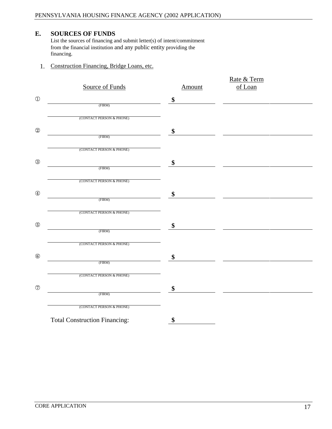#### **E. SOURCES OF FUNDS**

List the sources of financing and submit letter(s) of intent/commitment from the financial institution and any public entity providing the financing. The contract of the contract of the contract of the contract of the contract of the contract of the contract of the contract of the contract of the contract of the contract of the contract of the contract of the

1. Construction Financing, Bridge Loans, etc.

| Source of Funds<br>(FIRM)            | Amount | Rate & Term<br>of Loan |
|--------------------------------------|--------|------------------------|
|                                      |        |                        |
| (CONTACT PERSON & PHONE)             |        |                        |
|                                      |        |                        |
| (FIRM)                               |        |                        |
| (CONTACT PERSON & PHONE)             |        |                        |
| (FIRM)                               |        |                        |
| (CONTACT PERSON & PHONE)             |        |                        |
|                                      |        |                        |
| (FIRM)                               |        |                        |
| (CONTACT PERSON & PHONE)             |        |                        |
| (FIRM)                               |        |                        |
| (CONTACT PERSON & PHONE)             |        |                        |
|                                      |        |                        |
| (FIRM)                               |        |                        |
| (CONTACT PERSON & PHONE)             |        |                        |
| (FIRM)                               |        |                        |
| (CONTACT PERSON & PHONE)             |        |                        |
| <b>Total Construction Financing:</b> |        |                        |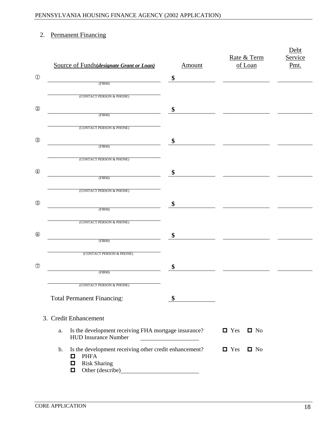#### 2. Permanent Financing

| Source of Funds(designate Grant or Loan)                                                                                   |               | Rate & Term                          |  |
|----------------------------------------------------------------------------------------------------------------------------|---------------|--------------------------------------|--|
|                                                                                                                            | <u>Amount</u> | of Loan                              |  |
|                                                                                                                            |               |                                      |  |
| (CONTACT PERSON & PHONE)                                                                                                   |               |                                      |  |
|                                                                                                                            |               |                                      |  |
| (FIRM)                                                                                                                     |               |                                      |  |
| (CONTACT PERSON & PHONE)                                                                                                   |               |                                      |  |
|                                                                                                                            |               |                                      |  |
| (FIRM)                                                                                                                     |               |                                      |  |
| (CONTACT PERSON & PHONE)                                                                                                   |               |                                      |  |
|                                                                                                                            |               |                                      |  |
| (CONTACT PERSON & PHONE)                                                                                                   |               |                                      |  |
|                                                                                                                            |               |                                      |  |
|                                                                                                                            |               |                                      |  |
| (CONTACT PERSON & PHONE)                                                                                                   |               |                                      |  |
|                                                                                                                            |               |                                      |  |
| (FIRM)                                                                                                                     |               |                                      |  |
| (CONTACT PERSON & PHONE)                                                                                                   |               |                                      |  |
|                                                                                                                            |               |                                      |  |
| (FIRM)                                                                                                                     |               |                                      |  |
| (CONTACT PERSON & PHONE)                                                                                                   |               |                                      |  |
| <b>Total Permanent Financing:</b>                                                                                          |               |                                      |  |
| 3. Credit Enhancement                                                                                                      |               |                                      |  |
| a. Is the development receiving FHA mortgage insurance?<br>HUD Insurance Number                                            |               | $\Box$ Yes $\Box$ No                 |  |
| b. Is the development receiving other credit enhancement?<br>$\Box$ PHFA<br>$\Box$ Risk Sharing<br>$\Box$ Other (describe) |               | $\blacksquare$ Yes $\blacksquare$ No |  |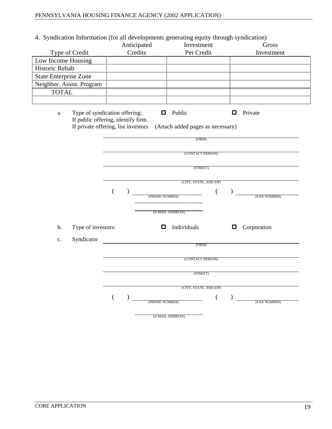4. Syndication Information (for all developments generating equity through syndication)

| 4. Syndication information (for an developments generating equity infough syndication) |                        |                                                                                                                                                                      |                    |
|----------------------------------------------------------------------------------------|------------------------|----------------------------------------------------------------------------------------------------------------------------------------------------------------------|--------------------|
|                                                                                        | Anticipated<br>Credits | Investment                                                                                                                                                           | Gross              |
| Type of Credit                                                                         |                        | Per Credit                                                                                                                                                           | Investment         |
| Low Income Housing                                                                     |                        |                                                                                                                                                                      |                    |
| Historic Rehab                                                                         |                        |                                                                                                                                                                      |                    |
| State Enterprise Zone                                                                  |                        |                                                                                                                                                                      |                    |
| Neighbor. Assist. Program                                                              |                        |                                                                                                                                                                      |                    |
| <b>TOTAL</b>                                                                           |                        |                                                                                                                                                                      |                    |
|                                                                                        |                        |                                                                                                                                                                      |                    |
|                                                                                        |                        |                                                                                                                                                                      |                    |
|                                                                                        |                        | a. Type of syndication offering: $\Box$ Public $\Box$<br>If public offering, identify firm.<br>If private offering, list investors (Attach added pages as necessary) | $\Box$ Private     |
|                                                                                        |                        |                                                                                                                                                                      |                    |
|                                                                                        |                        |                                                                                                                                                                      |                    |
|                                                                                        |                        | (FIRM)                                                                                                                                                               |                    |
|                                                                                        |                        |                                                                                                                                                                      |                    |
|                                                                                        |                        | (CONTACT PERSON)                                                                                                                                                     |                    |
|                                                                                        |                        |                                                                                                                                                                      |                    |
|                                                                                        |                        | (STREET)                                                                                                                                                             |                    |
|                                                                                        |                        |                                                                                                                                                                      |                    |
|                                                                                        |                        | (CITY, STATE, AND ZIP)                                                                                                                                               |                    |
|                                                                                        |                        |                                                                                                                                                                      |                    |
|                                                                                        |                        | (PHONE NUMBER)                                                                                                                                                       | (FAX NUMBER)       |
|                                                                                        |                        | the control of the control of the                                                                                                                                    |                    |
|                                                                                        |                        | (E-MAIL ADDRESS)                                                                                                                                                     |                    |
|                                                                                        |                        |                                                                                                                                                                      |                    |
| b. Type of investors:                                                                  |                        | $\Box$ Individuals                                                                                                                                                   | $\Box$ Corporation |
|                                                                                        |                        |                                                                                                                                                                      |                    |
| c. Syndicator                                                                          |                        | (FIRM)                                                                                                                                                               |                    |
|                                                                                        |                        |                                                                                                                                                                      |                    |
|                                                                                        |                        | (CONTACT PERSON)                                                                                                                                                     |                    |
|                                                                                        |                        |                                                                                                                                                                      |                    |
|                                                                                        |                        | (STREET)                                                                                                                                                             |                    |
|                                                                                        |                        |                                                                                                                                                                      |                    |
|                                                                                        |                        | (CITY, STATE, AND ZIP)                                                                                                                                               |                    |
|                                                                                        |                        |                                                                                                                                                                      |                    |
|                                                                                        |                        | (PHONE NUMBER)                                                                                                                                                       | (FAX NUMBER)       |
|                                                                                        |                        |                                                                                                                                                                      |                    |
|                                                                                        |                        | (E-MAIL ADDRESS)                                                                                                                                                     |                    |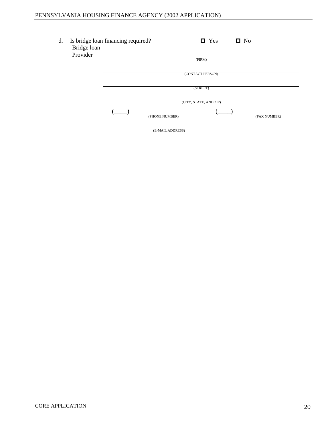| Is bridge loan financing required?<br>Bridge loan | $\blacksquare$ Yes<br>$\blacksquare$ No                               |  |  |
|---------------------------------------------------|-----------------------------------------------------------------------|--|--|
| Provider<br>______                                | (FIRM)                                                                |  |  |
|                                                   | (CONTACT PERSON)                                                      |  |  |
|                                                   | (STREET)                                                              |  |  |
|                                                   | (CITY, STATE, AND ZIP)                                                |  |  |
| $\overline{\phantom{a}}$                          | (FAX NUMBER)<br>the contract of the contract of the<br>(PHONE NUMBER) |  |  |
|                                                   | (E-MAIL ADDRESS)                                                      |  |  |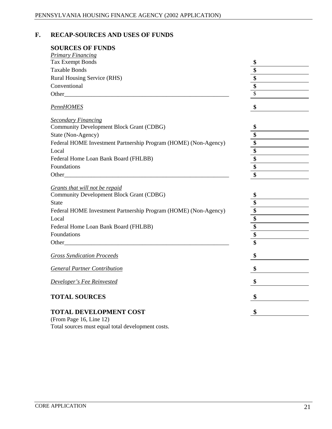#### **F. RECAP-SOURCES AND USES OF FUNDS**

#### **SOURCES OF FUNDS**

| <b>Primary Financing</b>                                        |                                                                                                                                                                                                                                                                                                                                                                                                                                                                                                                                                                                                                           |
|-----------------------------------------------------------------|---------------------------------------------------------------------------------------------------------------------------------------------------------------------------------------------------------------------------------------------------------------------------------------------------------------------------------------------------------------------------------------------------------------------------------------------------------------------------------------------------------------------------------------------------------------------------------------------------------------------------|
| Tax Exempt Bonds                                                |                                                                                                                                                                                                                                                                                                                                                                                                                                                                                                                                                                                                                           |
| <b>Taxable Bonds</b>                                            |                                                                                                                                                                                                                                                                                                                                                                                                                                                                                                                                                                                                                           |
| Rural Housing Service (RHS)                                     |                                                                                                                                                                                                                                                                                                                                                                                                                                                                                                                                                                                                                           |
| Conventional                                                    |                                                                                                                                                                                                                                                                                                                                                                                                                                                                                                                                                                                                                           |
| Other_                                                          | $\frac{1}{\sqrt{1-\frac{1}{2}}\left(1-\frac{1}{2}\right)}$                                                                                                                                                                                                                                                                                                                                                                                                                                                                                                                                                                |
| <b>PennHOMES</b>                                                |                                                                                                                                                                                                                                                                                                                                                                                                                                                                                                                                                                                                                           |
| <b>Secondary Financing</b>                                      |                                                                                                                                                                                                                                                                                                                                                                                                                                                                                                                                                                                                                           |
| Community Development Block Grant (CDBG)                        |                                                                                                                                                                                                                                                                                                                                                                                                                                                                                                                                                                                                                           |
| State (Non-Agency)                                              | $\overline{\phantom{a}}$                                                                                                                                                                                                                                                                                                                                                                                                                                                                                                                                                                                                  |
| Federal HOME Investment Partnership Program (HOME) (Non-Agency) |                                                                                                                                                                                                                                                                                                                                                                                                                                                                                                                                                                                                                           |
| Local                                                           |                                                                                                                                                                                                                                                                                                                                                                                                                                                                                                                                                                                                                           |
| Federal Home Loan Bank Board (FHLBB)                            | $\begin{tabular}{ c c c } \hline \quad \quad & \quad \quad & \quad \quad \\ \hline \quad \quad & \quad \quad & \quad \quad \\ \hline \quad \quad & \quad \quad & \quad \quad \\ \hline \quad \quad & \quad \quad & \quad \quad \\ \hline \quad \quad & \quad \quad & \quad \quad \\ \hline \quad \quad & \quad \quad & \quad \quad \\ \hline \quad \quad & \quad \quad & \quad \quad \\ \hline \quad \quad & \quad \quad & \quad \quad \\ \hline \quad \quad & \quad \quad & \quad \quad \\ \hline \quad \quad & \quad \quad & \quad \quad \\ \hline \quad \quad & \quad \quad & \quad \quad \\ \hline \quad \quad &$     |
| Foundations                                                     |                                                                                                                                                                                                                                                                                                                                                                                                                                                                                                                                                                                                                           |
| Other_                                                          |                                                                                                                                                                                                                                                                                                                                                                                                                                                                                                                                                                                                                           |
|                                                                 |                                                                                                                                                                                                                                                                                                                                                                                                                                                                                                                                                                                                                           |
| Grants that will not be repaid                                  |                                                                                                                                                                                                                                                                                                                                                                                                                                                                                                                                                                                                                           |
| Community Development Block Grant (CDBG)                        |                                                                                                                                                                                                                                                                                                                                                                                                                                                                                                                                                                                                                           |
| State                                                           |                                                                                                                                                                                                                                                                                                                                                                                                                                                                                                                                                                                                                           |
| Federal HOME Investment Partnership Program (HOME) (Non-Agency) |                                                                                                                                                                                                                                                                                                                                                                                                                                                                                                                                                                                                                           |
| Local                                                           | $\begin{tabular}{ c c } \hline \quad \quad & \quad \quad & \quad \quad \\ \hline \quad \quad & \quad \quad & \quad \quad \\ \hline \quad \quad & \quad \quad & \quad \quad \\ \hline \quad \quad & \quad \quad & \quad \quad \\ \hline \quad \quad & \quad \quad & \quad \quad \\ \hline \quad \quad & \quad \quad & \quad \quad \\ \hline \quad \quad & \quad \quad & \quad \quad \\ \hline \quad \quad & \quad \quad & \quad \quad \\ \hline \quad \quad & \quad \quad & \quad \quad \\ \hline \quad \quad & \quad \quad & \quad \quad \\ \hline \quad \quad & \quad \quad & \quad \quad \\ \hline \quad \quad & \quad$ |
| Federal Home Loan Bank Board (FHLBB)                            |                                                                                                                                                                                                                                                                                                                                                                                                                                                                                                                                                                                                                           |
| Foundations                                                     |                                                                                                                                                                                                                                                                                                                                                                                                                                                                                                                                                                                                                           |
| Other_                                                          |                                                                                                                                                                                                                                                                                                                                                                                                                                                                                                                                                                                                                           |
| <b>Gross Syndication Proceeds</b>                               |                                                                                                                                                                                                                                                                                                                                                                                                                                                                                                                                                                                                                           |
| <b>General Partner Contribution</b>                             |                                                                                                                                                                                                                                                                                                                                                                                                                                                                                                                                                                                                                           |
| Developer's Fee Reinvested                                      |                                                                                                                                                                                                                                                                                                                                                                                                                                                                                                                                                                                                                           |
| <b>TOTAL SOURCES</b>                                            |                                                                                                                                                                                                                                                                                                                                                                                                                                                                                                                                                                                                                           |
|                                                                 |                                                                                                                                                                                                                                                                                                                                                                                                                                                                                                                                                                                                                           |
| TOTAL DEVELOPMENT COST                                          |                                                                                                                                                                                                                                                                                                                                                                                                                                                                                                                                                                                                                           |
| (From Page 16, Line 12)                                         |                                                                                                                                                                                                                                                                                                                                                                                                                                                                                                                                                                                                                           |

Total sources must equal total development costs.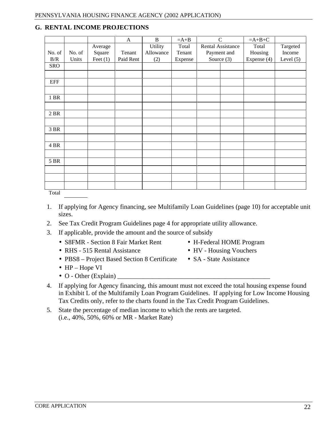#### **G. RENTAL INCOME PROJECTIONS**

|                                   |                         |         |                                       | $\mathbf{B}$ | $=A+B$  |                         | $=A+B+C$                          |                    |
|-----------------------------------|-------------------------|---------|---------------------------------------|--------------|---------|-------------------------|-----------------------------------|--------------------|
|                                   |                         | Average |                                       | Utility      |         | Total Rental Assistance | e Total<br>Housing<br>Expense (4) |                    |
|                                   |                         |         | Square Tenant A<br>Feet (1) Paid Rent | Allowance    | Tenant  | Payment and             |                                   | Targeted<br>Income |
|                                   |                         |         |                                       | (2)          | Expense | Source $(3)$            |                                   | Level $(5)$        |
|                                   | No. of No. of B/R Units |         |                                       |              |         |                         |                                   |                    |
|                                   |                         |         |                                       |              |         |                         |                                   |                    |
| EFF                               |                         |         |                                       |              |         |                         |                                   |                    |
|                                   |                         |         |                                       |              |         |                         |                                   |                    |
| 1 BR                              |                         |         |                                       |              |         |                         |                                   |                    |
|                                   |                         |         |                                       |              |         |                         |                                   |                    |
|                                   |                         |         |                                       |              |         |                         |                                   |                    |
| 2 BR                              |                         |         |                                       |              |         |                         |                                   |                    |
|                                   |                         |         |                                       |              |         |                         |                                   |                    |
| 3 BR                              |                         |         |                                       |              |         |                         |                                   |                    |
| <b>Contract Contract Contract</b> |                         |         |                                       |              |         |                         |                                   |                    |
| 4 BR                              |                         |         |                                       |              |         |                         |                                   |                    |
|                                   |                         |         |                                       |              |         |                         |                                   |                    |
| 5 BR                              |                         |         |                                       |              |         |                         |                                   |                    |
|                                   |                         |         |                                       |              |         |                         |                                   |                    |
|                                   |                         |         |                                       |              |         |                         |                                   |                    |
|                                   |                         |         |                                       |              |         |                         |                                   |                    |
|                                   |                         |         |                                       |              |         |                         |                                   |                    |
| Total                             |                         |         |                                       |              |         |                         |                                   |                    |

1. If applying for Agency financing, see Multifamily Loan Guidelines (page 10) for acceptable unit sizes.

4. If applying for Agency financing, this amount must not exceed the total housing expense found in Exhibit L of the Multifamily Loan Program Guidelines. If applying for Low Income Housing

Tax Credits only, refer to the charts found in the Tax Credit Program Guidelines.

5. State the percentage of median income to which the rents are targeted.

- 2. See Tax Credit Program Guidelines page 4 for appropriate utility allowance.
- 3. If applicable, provide the amount and the source of subsidy
	- S8FMR Section 8 Fair Market Rent H-Federal HOME Program
	- RHS 515 Rental Assistance HV Housing Vouchers
	- PBS8 Project Based Section 8 Certificate SA State Assistance

(i.e., 40%, 50%, 60% or MR - Market Rate)

- HP Hope VI
- $O$  Other (Explain)
- 
- 
-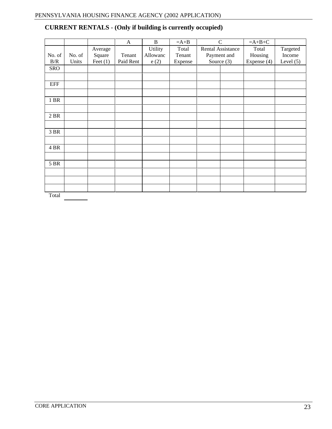|                                |         | $\mathbf{A}$                        | $\mathbf{B}$ | $=A+B$  |                   | $=A+B+C$         |                    |
|--------------------------------|---------|-------------------------------------|--------------|---------|-------------------|------------------|--------------------|
|                                | Average |                                     | Utility      | Total   | Rental Assistance | Total<br>Housing | Targeted<br>Income |
| No. of No. of B/R Units<br>SRO |         | Square Tenant<br>Feet (1) Paid Rent | Allowanc     | Tenant  | Payment and       |                  |                    |
|                                |         |                                     | e(2)         | Expense | Source $(3)$      | Expense (4)      | Level $(5)$        |
|                                |         |                                     |              |         |                   |                  |                    |
|                                |         |                                     |              |         |                   |                  |                    |
| EFF                            |         |                                     |              |         |                   |                  |                    |
|                                |         |                                     |              |         |                   |                  |                    |
|                                |         |                                     |              |         |                   |                  |                    |
| 1 BR                           |         |                                     |              |         |                   |                  |                    |
|                                |         |                                     |              |         |                   |                  |                    |
| 2 BR                           |         |                                     |              |         |                   |                  |                    |
|                                |         |                                     |              |         |                   |                  |                    |
| 3 BR                           |         |                                     |              |         |                   |                  |                    |
|                                |         |                                     |              |         |                   |                  |                    |
|                                |         |                                     |              |         |                   |                  |                    |
| 4 BR                           |         |                                     |              |         |                   |                  |                    |
|                                |         |                                     |              |         |                   |                  |                    |
| 5 BR                           |         |                                     |              |         |                   |                  |                    |
|                                |         |                                     |              |         |                   |                  |                    |
|                                |         |                                     |              |         |                   |                  |                    |
|                                |         |                                     |              |         |                   |                  |                    |
|                                |         |                                     |              |         |                   |                  |                    |
| Total                          |         |                                     |              |         |                   |                  |                    |

## **CURRENT RENTALS** - **(Only if building is currently occupied)**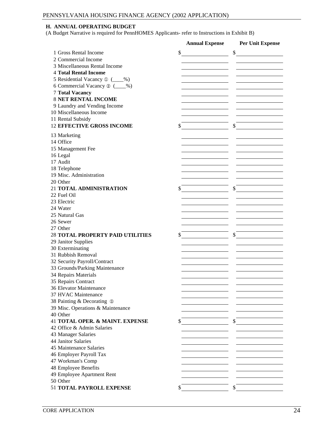#### **H. ANNUAL OPERATING BUDGET**

(A Budget Narrative is required for PennHOMES Applicants- refer to Instructions in Exhibit B)

|                                                        | <b>Annual Expense</b>                                                               | Per Unit Expense                                                                                                                                                                                                                     |
|--------------------------------------------------------|-------------------------------------------------------------------------------------|--------------------------------------------------------------------------------------------------------------------------------------------------------------------------------------------------------------------------------------|
| 1 Gross Rental Income                                  |                                                                                     |                                                                                                                                                                                                                                      |
| 2 Commercial Income                                    |                                                                                     |                                                                                                                                                                                                                                      |
| 3 Miscellaneous Rental Income                          |                                                                                     |                                                                                                                                                                                                                                      |
| 4 Total Rental Income                                  | the contract of the contract of the contract of the contract of the contract of     | and the control of the control of the control of the control of the control of                                                                                                                                                       |
| 5 Residential Vacancy $\circled{1}$ ( $\circled{2}$ %) |                                                                                     |                                                                                                                                                                                                                                      |
| 6 Commercial Vacancy 2 (46)                            |                                                                                     |                                                                                                                                                                                                                                      |
| <b>7 Total Vacancy</b>                                 |                                                                                     |                                                                                                                                                                                                                                      |
| <b>8 NET RENTAL INCOME</b>                             | the contract of the contract of the contract of the contract of the contract of     | the contract of the contract of the contract of the contract of the contract of                                                                                                                                                      |
| 9 Laundry and Vending Income                           | the contract of the contract of the contract of the contract of the contract of     | the contract of the contract of the contract of the contract of the contract of                                                                                                                                                      |
| 10 Miscellaneous Income                                |                                                                                     |                                                                                                                                                                                                                                      |
| 11 Rental Subsidy                                      |                                                                                     |                                                                                                                                                                                                                                      |
|                                                        |                                                                                     |                                                                                                                                                                                                                                      |
| <b>12 EFFECTIVE GROSS INCOME</b>                       |                                                                                     |                                                                                                                                                                                                                                      |
| 13 Marketing                                           |                                                                                     |                                                                                                                                                                                                                                      |
| 14 Office                                              |                                                                                     |                                                                                                                                                                                                                                      |
| 15 Management Fee                                      | the contract of the contract of the contract of the contract of the contract of     | the contract of the contract of the contract of the contract of the contract of                                                                                                                                                      |
| 16 Legal                                               |                                                                                     |                                                                                                                                                                                                                                      |
| 17 Audit                                               |                                                                                     |                                                                                                                                                                                                                                      |
| 18 Telephone                                           |                                                                                     |                                                                                                                                                                                                                                      |
| 19 Misc. Administration                                |                                                                                     |                                                                                                                                                                                                                                      |
| 20 Other                                               |                                                                                     |                                                                                                                                                                                                                                      |
| 21 TOTAL ADMINISTRATION                                | and the contract of the contract of the contract of the contract of the contract of |                                                                                                                                                                                                                                      |
| 22 Fuel Oil                                            |                                                                                     |                                                                                                                                                                                                                                      |
| 23 Electric                                            |                                                                                     |                                                                                                                                                                                                                                      |
| 24 Water                                               |                                                                                     |                                                                                                                                                                                                                                      |
| 25 Natural Gas                                         |                                                                                     | the contract of the contract of the contract of the contract of the contract of                                                                                                                                                      |
| 26 Sewer                                               |                                                                                     | the contract of the contract of the contract of the contract of the contract of                                                                                                                                                      |
| 27 Other                                               | and the contract of the contract of the contract of the contract of the contract of | the contract of the contract of the contract of the contract of the contract of                                                                                                                                                      |
| 28 TOTAL PROPERTY PAID UTILITIES                       |                                                                                     |                                                                                                                                                                                                                                      |
| 29 Janitor Supplies                                    |                                                                                     |                                                                                                                                                                                                                                      |
| 30 Exterminating                                       | the contract of the contract of the                                                 | the contract of the contract of the contract of the contract of the contract of                                                                                                                                                      |
| 31 Rubbish Removal                                     |                                                                                     | the contract of the contract of the contract of the contract of the contract of                                                                                                                                                      |
|                                                        |                                                                                     |                                                                                                                                                                                                                                      |
| 32 Security Payroll/Contract                           |                                                                                     |                                                                                                                                                                                                                                      |
| 33 Grounds/Parking Maintenance                         |                                                                                     |                                                                                                                                                                                                                                      |
| 34 Repairs Materials                                   |                                                                                     | <u> The Communication of the Communication of the Communication of the Communication of the Communication of the Communication of the Communication of the Communication of the Communication of the Communication of the Commun</u> |
| 35 Repairs Contract                                    |                                                                                     |                                                                                                                                                                                                                                      |
| 36 Elevator Maintenance                                | and the contract of the contract of the contract of the contract of the contract of | the contract of the contract of the contract of the contract of the contract of                                                                                                                                                      |
| 37 HVAC Maintenance                                    |                                                                                     |                                                                                                                                                                                                                                      |
| 38 Painting & Decorating 3                             |                                                                                     |                                                                                                                                                                                                                                      |
| 39 Misc. Operations & Maintenance                      |                                                                                     |                                                                                                                                                                                                                                      |
| 40 Other                                               |                                                                                     |                                                                                                                                                                                                                                      |
| 41 TOTAL OPER. & MAINT. EXPENSE                        |                                                                                     |                                                                                                                                                                                                                                      |
| 42 Office & Admin Salaries                             |                                                                                     |                                                                                                                                                                                                                                      |
| 43 Manager Salaries                                    |                                                                                     |                                                                                                                                                                                                                                      |
| 44 Janitor Salaries                                    |                                                                                     |                                                                                                                                                                                                                                      |
| 45 Maintenance Salaries                                |                                                                                     |                                                                                                                                                                                                                                      |
| 46 Employer Payroll Tax                                |                                                                                     |                                                                                                                                                                                                                                      |
| 47 Workman's Comp                                      |                                                                                     |                                                                                                                                                                                                                                      |
| 48 Employee Benefits                                   |                                                                                     |                                                                                                                                                                                                                                      |
| 49 Employee Apartment Rent                             |                                                                                     |                                                                                                                                                                                                                                      |
| 50 Other                                               |                                                                                     |                                                                                                                                                                                                                                      |
| 51 TOTAL PAYROLL EXPENSE                               |                                                                                     |                                                                                                                                                                                                                                      |